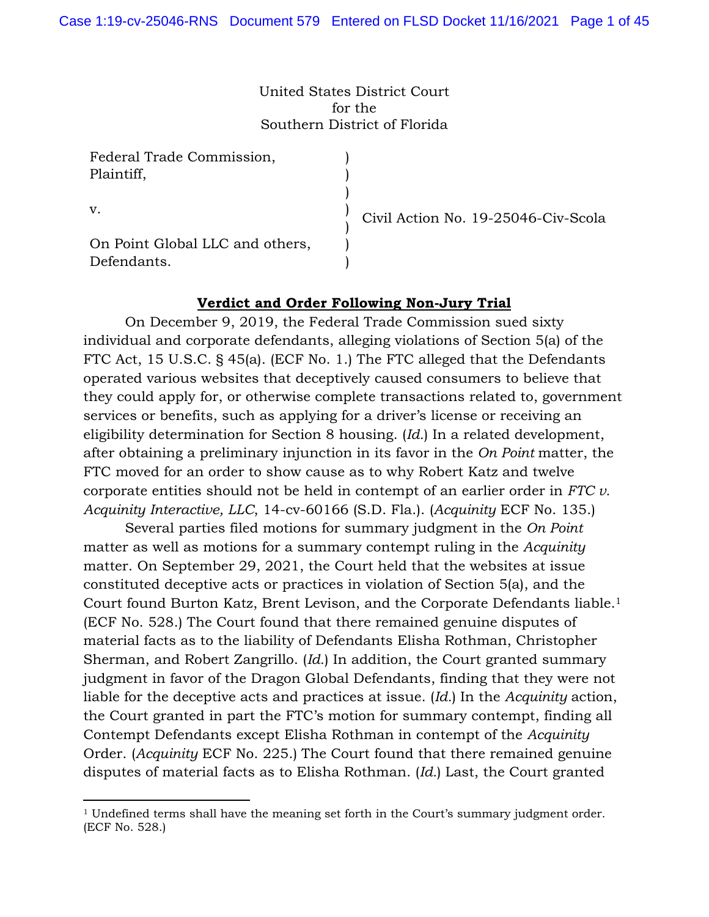United States District Court for the Southern District of Florida

> ) ) ) ) ) ) )

Federal Trade Commission, Plaintiff,

v.

On Point Global LLC and others, Defendants.

Civil Action No. 19-25046-Civ-Scola

# **Verdict and Order Following Non-Jury Trial**

On December 9, 2019, the Federal Trade Commission sued sixty individual and corporate defendants, alleging violations of Section 5(a) of the FTC Act, 15 U.S.C. § 45(a). (ECF No. 1.) The FTC alleged that the Defendants operated various websites that deceptively caused consumers to believe that they could apply for, or otherwise complete transactions related to, government services or benefits, such as applying for a driver's license or receiving an eligibility determination for Section 8 housing. (*Id.*) In a related development, after obtaining a preliminary injunction in its favor in the *On Point* matter, the FTC moved for an order to show cause as to why Robert Katz and twelve corporate entities should not be held in contempt of an earlier order in *FTC v. Acquinity Interactive, LLC*, 14-cv-60166 (S.D. Fla.). (*Acquinity* ECF No. 135.)

Several parties filed motions for summary judgment in the *On Point*  matter as well as motions for a summary contempt ruling in the *Acquinity*  matter. On September 29, 2021, the Court held that the websites at issue constituted deceptive acts or practices in violation of Section 5(a), and the Court found Burton Katz, Brent Levison, and the Corporate Defendants liable.1 (ECF No. 528.) The Court found that there remained genuine disputes of material facts as to the liability of Defendants Elisha Rothman, Christopher Sherman, and Robert Zangrillo. (*Id.*) In addition, the Court granted summary judgment in favor of the Dragon Global Defendants, finding that they were not liable for the deceptive acts and practices at issue. (*Id.*) In the *Acquinity* action, the Court granted in part the FTC's motion for summary contempt, finding all Contempt Defendants except Elisha Rothman in contempt of the *Acquinity*  Order. (*Acquinity* ECF No. 225.) The Court found that there remained genuine disputes of material facts as to Elisha Rothman. (*Id.*) Last, the Court granted

<sup>&</sup>lt;sup>1</sup> Undefined terms shall have the meaning set forth in the Court's summary judgment order. (ECF No. 528.)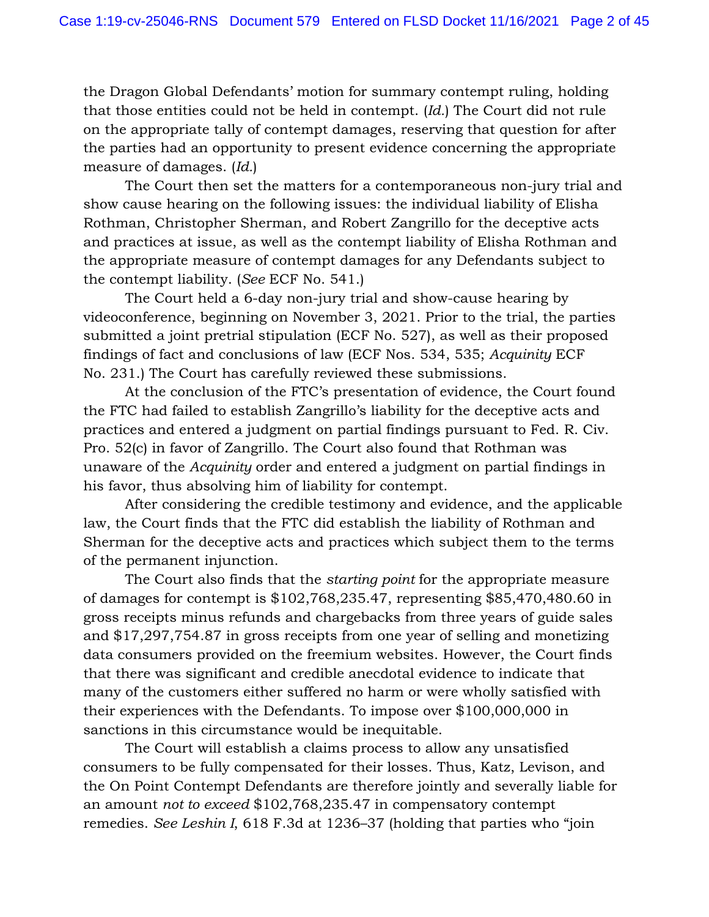the Dragon Global Defendants' motion for summary contempt ruling, holding that those entities could not be held in contempt. (*Id.*) The Court did not rule on the appropriate tally of contempt damages, reserving that question for after the parties had an opportunity to present evidence concerning the appropriate measure of damages. (*Id.*)

The Court then set the matters for a contemporaneous non-jury trial and show cause hearing on the following issues: the individual liability of Elisha Rothman, Christopher Sherman, and Robert Zangrillo for the deceptive acts and practices at issue, as well as the contempt liability of Elisha Rothman and the appropriate measure of contempt damages for any Defendants subject to the contempt liability. (*See* ECF No. 541.)

The Court held a 6-day non-jury trial and show-cause hearing by videoconference, beginning on November 3, 2021. Prior to the trial, the parties submitted a joint pretrial stipulation (ECF No. 527), as well as their proposed findings of fact and conclusions of law (ECF Nos. 534, 535; *Acquinity* ECF No. 231.) The Court has carefully reviewed these submissions.

At the conclusion of the FTC's presentation of evidence, the Court found the FTC had failed to establish Zangrillo's liability for the deceptive acts and practices and entered a judgment on partial findings pursuant to Fed. R. Civ. Pro. 52(c) in favor of Zangrillo. The Court also found that Rothman was unaware of the *Acquinity* order and entered a judgment on partial findings in his favor, thus absolving him of liability for contempt.

After considering the credible testimony and evidence, and the applicable law, the Court finds that the FTC did establish the liability of Rothman and Sherman for the deceptive acts and practices which subject them to the terms of the permanent injunction.

The Court also finds that the *starting point* for the appropriate measure of damages for contempt is \$102,768,235.47, representing \$85,470,480.60 in gross receipts minus refunds and chargebacks from three years of guide sales and \$17,297,754.87 in gross receipts from one year of selling and monetizing data consumers provided on the freemium websites. However, the Court finds that there was significant and credible anecdotal evidence to indicate that many of the customers either suffered no harm or were wholly satisfied with their experiences with the Defendants. To impose over \$100,000,000 in sanctions in this circumstance would be inequitable.

The Court will establish a claims process to allow any unsatisfied consumers to be fully compensated for their losses. Thus, Katz, Levison, and the On Point Contempt Defendants are therefore jointly and severally liable for an amount *not to exceed* \$102,768,235.47 in compensatory contempt remedies. *See Leshin I*, 618 F.3d at 1236–37 (holding that parties who "join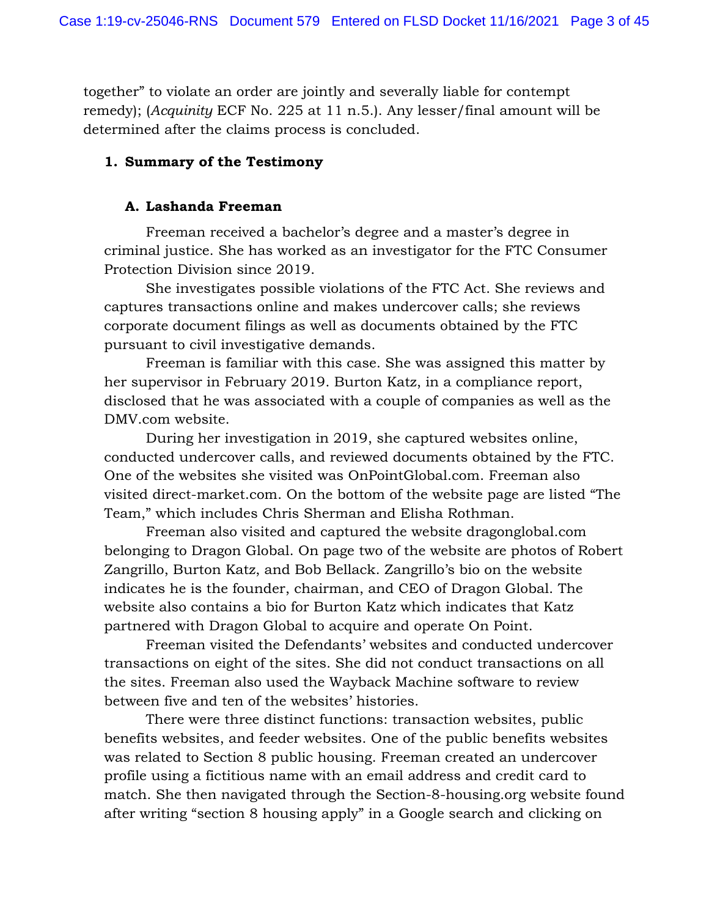together" to violate an order are jointly and severally liable for contempt remedy); (*Acquinity* ECF No. 225 at 11 n.5.). Any lesser/final amount will be determined after the claims process is concluded.

### **1. Summary of the Testimony**

#### **A. Lashanda Freeman**

Freeman received a bachelor's degree and a master's degree in criminal justice. She has worked as an investigator for the FTC Consumer Protection Division since 2019.

She investigates possible violations of the FTC Act. She reviews and captures transactions online and makes undercover calls; she reviews corporate document filings as well as documents obtained by the FTC pursuant to civil investigative demands.

Freeman is familiar with this case. She was assigned this matter by her supervisor in February 2019. Burton Katz, in a compliance report, disclosed that he was associated with a couple of companies as well as the DMV.com website.

During her investigation in 2019, she captured websites online, conducted undercover calls, and reviewed documents obtained by the FTC. One of the websites she visited was OnPointGlobal.com. Freeman also visited direct-market.com. On the bottom of the website page are listed "The Team," which includes Chris Sherman and Elisha Rothman.

Freeman also visited and captured the website dragonglobal.com belonging to Dragon Global. On page two of the website are photos of Robert Zangrillo, Burton Katz, and Bob Bellack. Zangrillo's bio on the website indicates he is the founder, chairman, and CEO of Dragon Global. The website also contains a bio for Burton Katz which indicates that Katz partnered with Dragon Global to acquire and operate On Point.

Freeman visited the Defendants' websites and conducted undercover transactions on eight of the sites. She did not conduct transactions on all the sites. Freeman also used the Wayback Machine software to review between five and ten of the websites' histories.

There were three distinct functions: transaction websites, public benefits websites, and feeder websites. One of the public benefits websites was related to Section 8 public housing. Freeman created an undercover profile using a fictitious name with an email address and credit card to match. She then navigated through the Section-8-housing.org website found after writing "section 8 housing apply" in a Google search and clicking on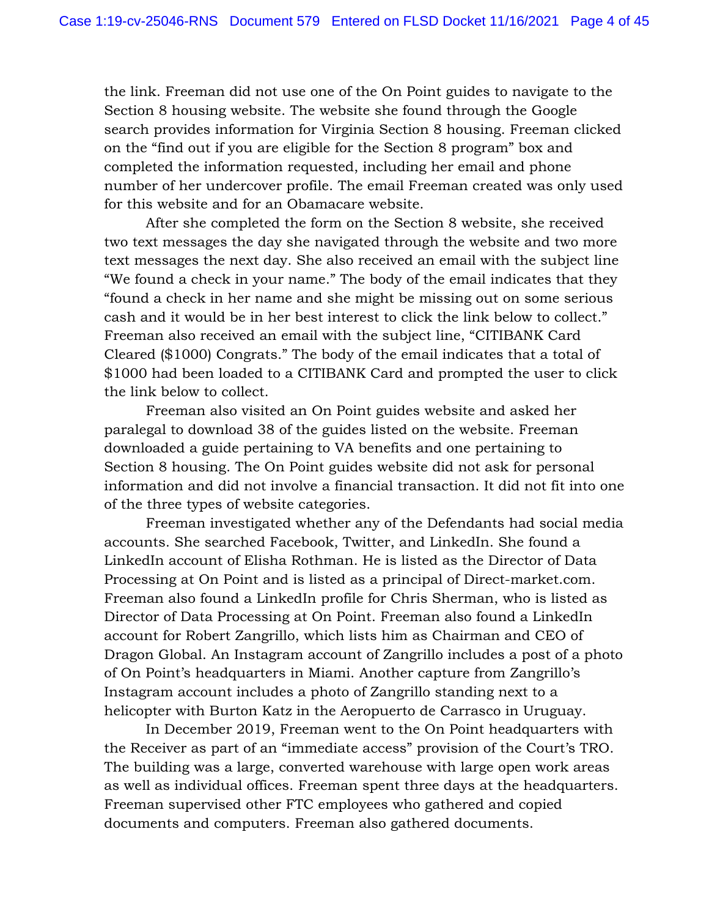the link. Freeman did not use one of the On Point guides to navigate to the Section 8 housing website. The website she found through the Google search provides information for Virginia Section 8 housing. Freeman clicked on the "find out if you are eligible for the Section 8 program" box and completed the information requested, including her email and phone number of her undercover profile. The email Freeman created was only used for this website and for an Obamacare website.

After she completed the form on the Section 8 website, she received two text messages the day she navigated through the website and two more text messages the next day. She also received an email with the subject line "We found a check in your name." The body of the email indicates that they "found a check in her name and she might be missing out on some serious cash and it would be in her best interest to click the link below to collect." Freeman also received an email with the subject line, "CITIBANK Card Cleared (\$1000) Congrats." The body of the email indicates that a total of \$1000 had been loaded to a CITIBANK Card and prompted the user to click the link below to collect.

Freeman also visited an On Point guides website and asked her paralegal to download 38 of the guides listed on the website. Freeman downloaded a guide pertaining to VA benefits and one pertaining to Section 8 housing. The On Point guides website did not ask for personal information and did not involve a financial transaction. It did not fit into one of the three types of website categories.

Freeman investigated whether any of the Defendants had social media accounts. She searched Facebook, Twitter, and LinkedIn. She found a LinkedIn account of Elisha Rothman. He is listed as the Director of Data Processing at On Point and is listed as a principal of Direct-market.com. Freeman also found a LinkedIn profile for Chris Sherman, who is listed as Director of Data Processing at On Point. Freeman also found a LinkedIn account for Robert Zangrillo, which lists him as Chairman and CEO of Dragon Global. An Instagram account of Zangrillo includes a post of a photo of On Point's headquarters in Miami. Another capture from Zangrillo's Instagram account includes a photo of Zangrillo standing next to a helicopter with Burton Katz in the Aeropuerto de Carrasco in Uruguay.

In December 2019, Freeman went to the On Point headquarters with the Receiver as part of an "immediate access" provision of the Court's TRO. The building was a large, converted warehouse with large open work areas as well as individual offices. Freeman spent three days at the headquarters. Freeman supervised other FTC employees who gathered and copied documents and computers. Freeman also gathered documents.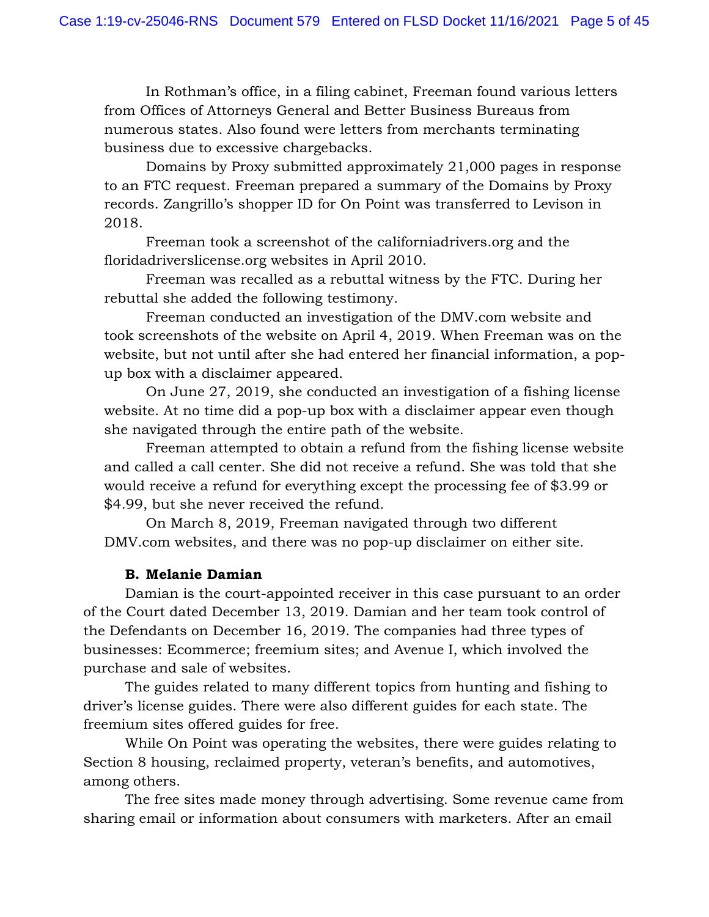In Rothman's office, in a filing cabinet, Freeman found various letters from Offices of Attorneys General and Better Business Bureaus from numerous states. Also found were letters from merchants terminating business due to excessive chargebacks.

Domains by Proxy submitted approximately 21,000 pages in response to an FTC request. Freeman prepared a summary of the Domains by Proxy records. Zangrillo's shopper ID for On Point was transferred to Levison in 2018.

Freeman took a screenshot of the californiadrivers.org and the floridadriverslicense.org websites in April 2010.

Freeman was recalled as a rebuttal witness by the FTC. During her rebuttal she added the following testimony.

Freeman conducted an investigation of the DMV.com website and took screenshots of the website on April 4, 2019. When Freeman was on the website, but not until after she had entered her financial information, a popup box with a disclaimer appeared.

On June 27, 2019, she conducted an investigation of a fishing license website. At no time did a pop-up box with a disclaimer appear even though she navigated through the entire path of the website.

Freeman attempted to obtain a refund from the fishing license website and called a call center. She did not receive a refund. She was told that she would receive a refund for everything except the processing fee of \$3.99 or \$4.99, but she never received the refund.

On March 8, 2019, Freeman navigated through two different DMV.com websites, and there was no pop-up disclaimer on either site.

# **B. Melanie Damian**

Damian is the court-appointed receiver in this case pursuant to an order of the Court dated December 13, 2019. Damian and her team took control of the Defendants on December 16, 2019. The companies had three types of businesses: Ecommerce; freemium sites; and Avenue I, which involved the purchase and sale of websites.

The guides related to many different topics from hunting and fishing to driver's license guides. There were also different guides for each state. The freemium sites offered guides for free.

While On Point was operating the websites, there were guides relating to Section 8 housing, reclaimed property, veteran's benefits, and automotives, among others.

The free sites made money through advertising. Some revenue came from sharing email or information about consumers with marketers. After an email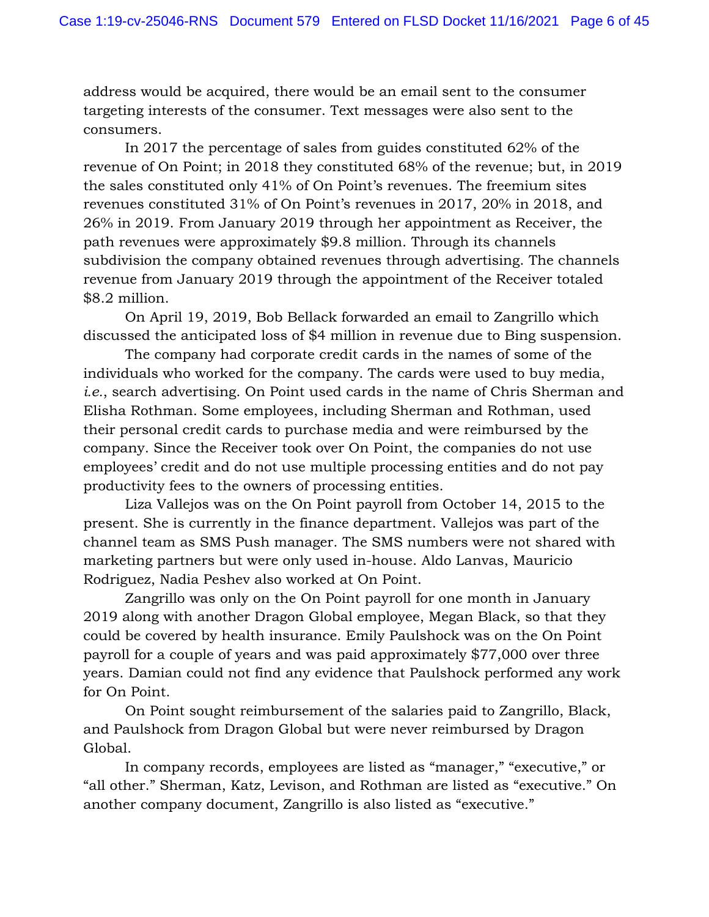address would be acquired, there would be an email sent to the consumer targeting interests of the consumer. Text messages were also sent to the consumers.

In 2017 the percentage of sales from guides constituted 62% of the revenue of On Point; in 2018 they constituted 68% of the revenue; but, in 2019 the sales constituted only 41% of On Point's revenues. The freemium sites revenues constituted 31% of On Point's revenues in 2017, 20% in 2018, and 26% in 2019. From January 2019 through her appointment as Receiver, the path revenues were approximately \$9.8 million. Through its channels subdivision the company obtained revenues through advertising. The channels revenue from January 2019 through the appointment of the Receiver totaled \$8.2 million.

On April 19, 2019, Bob Bellack forwarded an email to Zangrillo which discussed the anticipated loss of \$4 million in revenue due to Bing suspension.

The company had corporate credit cards in the names of some of the individuals who worked for the company. The cards were used to buy media, *i.e.*, search advertising. On Point used cards in the name of Chris Sherman and Elisha Rothman. Some employees, including Sherman and Rothman, used their personal credit cards to purchase media and were reimbursed by the company. Since the Receiver took over On Point, the companies do not use employees' credit and do not use multiple processing entities and do not pay productivity fees to the owners of processing entities.

Liza Vallejos was on the On Point payroll from October 14, 2015 to the present. She is currently in the finance department. Vallejos was part of the channel team as SMS Push manager. The SMS numbers were not shared with marketing partners but were only used in-house. Aldo Lanvas, Mauricio Rodriguez, Nadia Peshev also worked at On Point.

Zangrillo was only on the On Point payroll for one month in January 2019 along with another Dragon Global employee, Megan Black, so that they could be covered by health insurance. Emily Paulshock was on the On Point payroll for a couple of years and was paid approximately \$77,000 over three years. Damian could not find any evidence that Paulshock performed any work for On Point.

On Point sought reimbursement of the salaries paid to Zangrillo, Black, and Paulshock from Dragon Global but were never reimbursed by Dragon Global.

In company records, employees are listed as "manager," "executive," or "all other." Sherman, Katz, Levison, and Rothman are listed as "executive." On another company document, Zangrillo is also listed as "executive."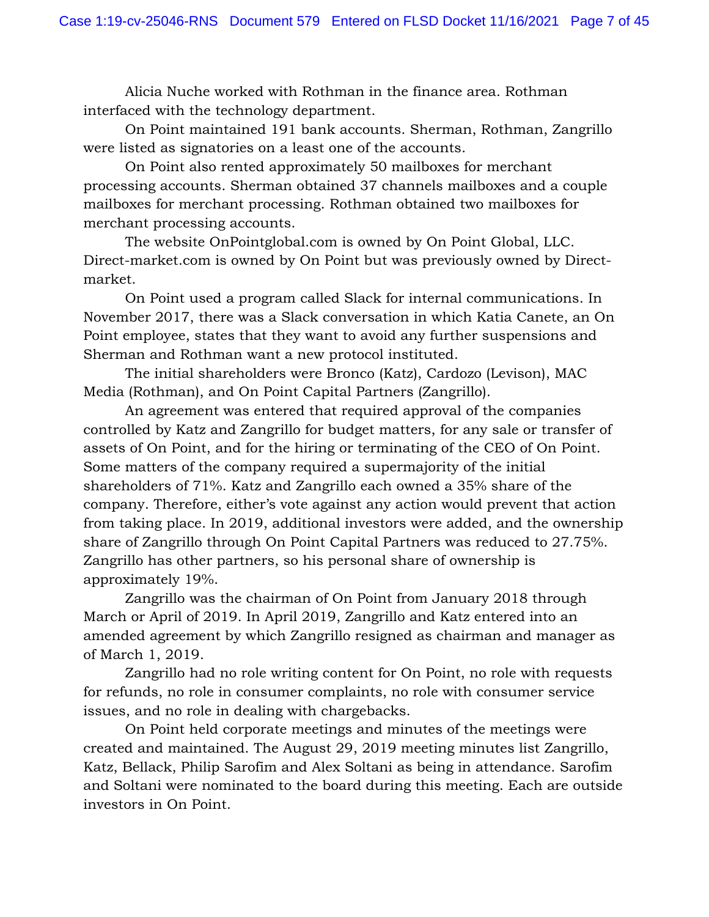Alicia Nuche worked with Rothman in the finance area. Rothman interfaced with the technology department.

On Point maintained 191 bank accounts. Sherman, Rothman, Zangrillo were listed as signatories on a least one of the accounts.

On Point also rented approximately 50 mailboxes for merchant processing accounts. Sherman obtained 37 channels mailboxes and a couple mailboxes for merchant processing. Rothman obtained two mailboxes for merchant processing accounts.

The website OnPointglobal.com is owned by On Point Global, LLC. Direct-market.com is owned by On Point but was previously owned by Directmarket.

On Point used a program called Slack for internal communications. In November 2017, there was a Slack conversation in which Katia Canete, an On Point employee, states that they want to avoid any further suspensions and Sherman and Rothman want a new protocol instituted.

The initial shareholders were Bronco (Katz), Cardozo (Levison), MAC Media (Rothman), and On Point Capital Partners (Zangrillo).

An agreement was entered that required approval of the companies controlled by Katz and Zangrillo for budget matters, for any sale or transfer of assets of On Point, and for the hiring or terminating of the CEO of On Point. Some matters of the company required a supermajority of the initial shareholders of 71%. Katz and Zangrillo each owned a 35% share of the company. Therefore, either's vote against any action would prevent that action from taking place. In 2019, additional investors were added, and the ownership share of Zangrillo through On Point Capital Partners was reduced to 27.75%. Zangrillo has other partners, so his personal share of ownership is approximately 19%.

Zangrillo was the chairman of On Point from January 2018 through March or April of 2019. In April 2019, Zangrillo and Katz entered into an amended agreement by which Zangrillo resigned as chairman and manager as of March 1, 2019.

Zangrillo had no role writing content for On Point, no role with requests for refunds, no role in consumer complaints, no role with consumer service issues, and no role in dealing with chargebacks.

On Point held corporate meetings and minutes of the meetings were created and maintained. The August 29, 2019 meeting minutes list Zangrillo, Katz, Bellack, Philip Sarofim and Alex Soltani as being in attendance. Sarofim and Soltani were nominated to the board during this meeting. Each are outside investors in On Point.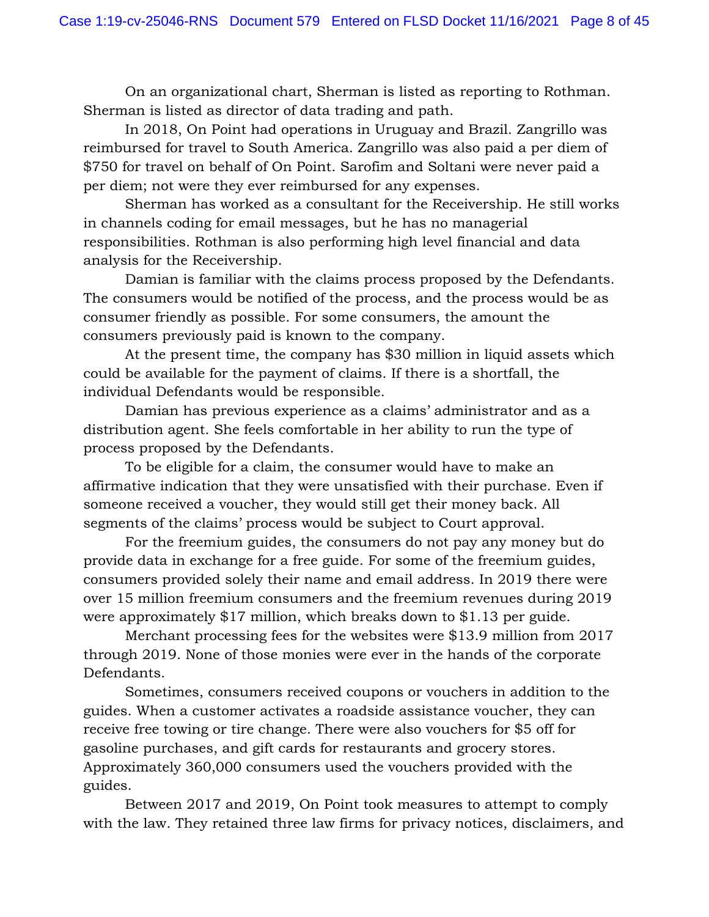On an organizational chart, Sherman is listed as reporting to Rothman. Sherman is listed as director of data trading and path.

In 2018, On Point had operations in Uruguay and Brazil. Zangrillo was reimbursed for travel to South America. Zangrillo was also paid a per diem of \$750 for travel on behalf of On Point. Sarofim and Soltani were never paid a per diem; not were they ever reimbursed for any expenses.

Sherman has worked as a consultant for the Receivership. He still works in channels coding for email messages, but he has no managerial responsibilities. Rothman is also performing high level financial and data analysis for the Receivership.

Damian is familiar with the claims process proposed by the Defendants. The consumers would be notified of the process, and the process would be as consumer friendly as possible. For some consumers, the amount the consumers previously paid is known to the company.

At the present time, the company has \$30 million in liquid assets which could be available for the payment of claims. If there is a shortfall, the individual Defendants would be responsible.

Damian has previous experience as a claims' administrator and as a distribution agent. She feels comfortable in her ability to run the type of process proposed by the Defendants.

To be eligible for a claim, the consumer would have to make an affirmative indication that they were unsatisfied with their purchase. Even if someone received a voucher, they would still get their money back. All segments of the claims' process would be subject to Court approval.

For the freemium guides, the consumers do not pay any money but do provide data in exchange for a free guide. For some of the freemium guides, consumers provided solely their name and email address. In 2019 there were over 15 million freemium consumers and the freemium revenues during 2019 were approximately \$17 million, which breaks down to \$1.13 per guide.

Merchant processing fees for the websites were \$13.9 million from 2017 through 2019. None of those monies were ever in the hands of the corporate Defendants.

Sometimes, consumers received coupons or vouchers in addition to the guides. When a customer activates a roadside assistance voucher, they can receive free towing or tire change. There were also vouchers for \$5 off for gasoline purchases, and gift cards for restaurants and grocery stores. Approximately 360,000 consumers used the vouchers provided with the guides.

Between 2017 and 2019, On Point took measures to attempt to comply with the law. They retained three law firms for privacy notices, disclaimers, and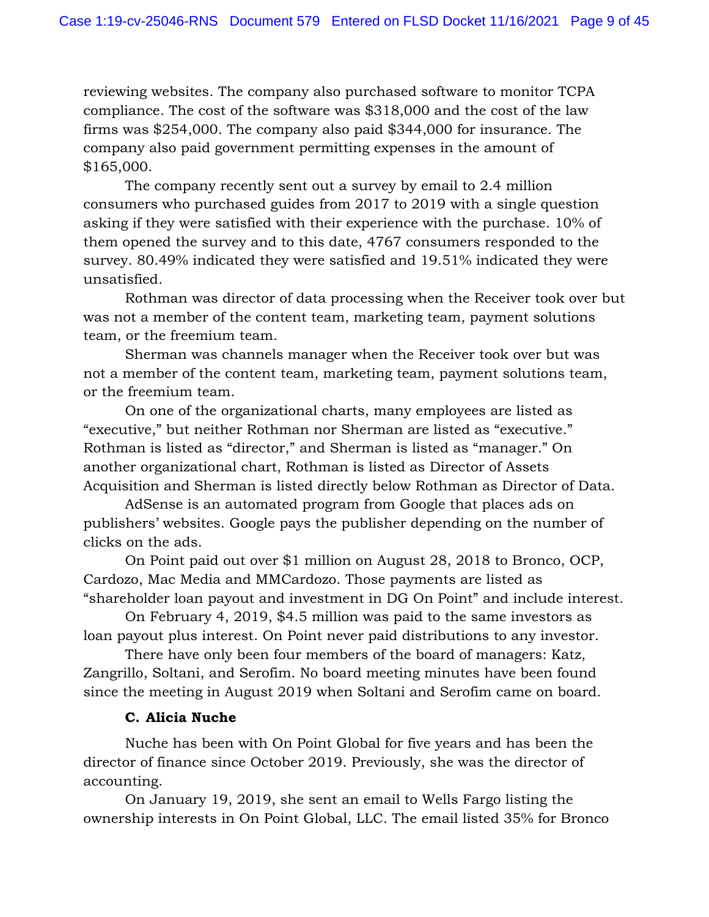reviewing websites. The company also purchased software to monitor TCPA compliance. The cost of the software was \$318,000 and the cost of the law firms was \$254,000. The company also paid \$344,000 for insurance. The company also paid government permitting expenses in the amount of \$165,000.

The company recently sent out a survey by email to 2.4 million consumers who purchased guides from 2017 to 2019 with a single question asking if they were satisfied with their experience with the purchase. 10% of them opened the survey and to this date, 4767 consumers responded to the survey. 80.49% indicated they were satisfied and 19.51% indicated they were unsatisfied.

Rothman was director of data processing when the Receiver took over but was not a member of the content team, marketing team, payment solutions team, or the freemium team.

Sherman was channels manager when the Receiver took over but was not a member of the content team, marketing team, payment solutions team, or the freemium team.

On one of the organizational charts, many employees are listed as "executive," but neither Rothman nor Sherman are listed as "executive." Rothman is listed as "director," and Sherman is listed as "manager." On another organizational chart, Rothman is listed as Director of Assets Acquisition and Sherman is listed directly below Rothman as Director of Data.

AdSense is an automated program from Google that places ads on publishers' websites. Google pays the publisher depending on the number of clicks on the ads.

On Point paid out over \$1 million on August 28, 2018 to Bronco, OCP, Cardozo, Mac Media and MMCardozo. Those payments are listed as "shareholder loan payout and investment in DG On Point" and include interest.

On February 4, 2019, \$4.5 million was paid to the same investors as loan payout plus interest. On Point never paid distributions to any investor.

There have only been four members of the board of managers: Katz, Zangrillo, Soltani, and Serofim. No board meeting minutes have been found since the meeting in August 2019 when Soltani and Serofim came on board.

# **C. Alicia Nuche**

Nuche has been with On Point Global for five years and has been the director of finance since October 2019. Previously, she was the director of accounting.

On January 19, 2019, she sent an email to Wells Fargo listing the ownership interests in On Point Global, LLC. The email listed 35% for Bronco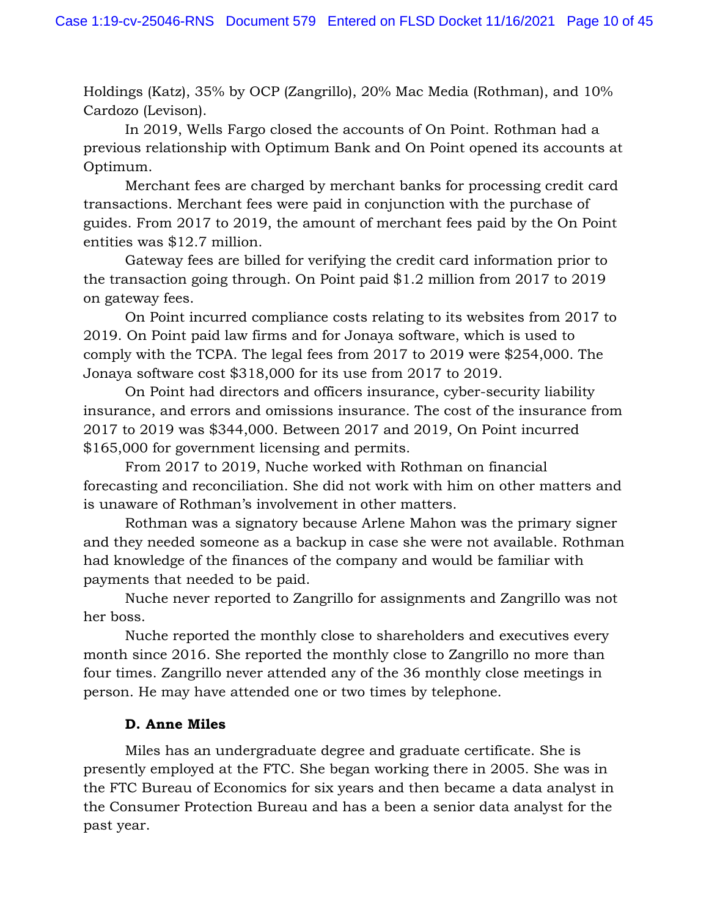Holdings (Katz), 35% by OCP (Zangrillo), 20% Mac Media (Rothman), and 10% Cardozo (Levison).

In 2019, Wells Fargo closed the accounts of On Point. Rothman had a previous relationship with Optimum Bank and On Point opened its accounts at Optimum.

Merchant fees are charged by merchant banks for processing credit card transactions. Merchant fees were paid in conjunction with the purchase of guides. From 2017 to 2019, the amount of merchant fees paid by the On Point entities was \$12.7 million.

Gateway fees are billed for verifying the credit card information prior to the transaction going through. On Point paid \$1.2 million from 2017 to 2019 on gateway fees.

On Point incurred compliance costs relating to its websites from 2017 to 2019. On Point paid law firms and for Jonaya software, which is used to comply with the TCPA. The legal fees from 2017 to 2019 were \$254,000. The Jonaya software cost \$318,000 for its use from 2017 to 2019.

On Point had directors and officers insurance, cyber-security liability insurance, and errors and omissions insurance. The cost of the insurance from 2017 to 2019 was \$344,000. Between 2017 and 2019, On Point incurred \$165,000 for government licensing and permits.

From 2017 to 2019, Nuche worked with Rothman on financial forecasting and reconciliation. She did not work with him on other matters and is unaware of Rothman's involvement in other matters.

Rothman was a signatory because Arlene Mahon was the primary signer and they needed someone as a backup in case she were not available. Rothman had knowledge of the finances of the company and would be familiar with payments that needed to be paid.

Nuche never reported to Zangrillo for assignments and Zangrillo was not her boss.

Nuche reported the monthly close to shareholders and executives every month since 2016. She reported the monthly close to Zangrillo no more than four times. Zangrillo never attended any of the 36 monthly close meetings in person. He may have attended one or two times by telephone.

# **D. Anne Miles**

Miles has an undergraduate degree and graduate certificate. She is presently employed at the FTC. She began working there in 2005. She was in the FTC Bureau of Economics for six years and then became a data analyst in the Consumer Protection Bureau and has a been a senior data analyst for the past year.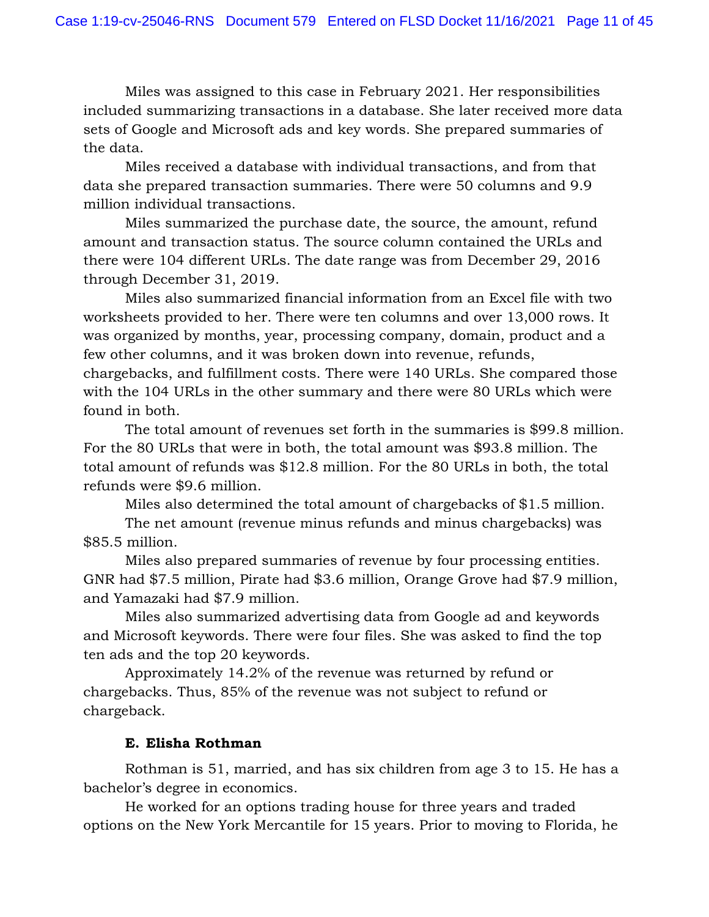Miles was assigned to this case in February 2021. Her responsibilities included summarizing transactions in a database. She later received more data sets of Google and Microsoft ads and key words. She prepared summaries of the data.

Miles received a database with individual transactions, and from that data she prepared transaction summaries. There were 50 columns and 9.9 million individual transactions.

Miles summarized the purchase date, the source, the amount, refund amount and transaction status. The source column contained the URLs and there were 104 different URLs. The date range was from December 29, 2016 through December 31, 2019.

Miles also summarized financial information from an Excel file with two worksheets provided to her. There were ten columns and over 13,000 rows. It was organized by months, year, processing company, domain, product and a few other columns, and it was broken down into revenue, refunds, chargebacks, and fulfillment costs. There were 140 URLs. She compared those with the 104 URLs in the other summary and there were 80 URLs which were found in both.

The total amount of revenues set forth in the summaries is \$99.8 million. For the 80 URLs that were in both, the total amount was \$93.8 million. The total amount of refunds was \$12.8 million. For the 80 URLs in both, the total refunds were \$9.6 million.

Miles also determined the total amount of chargebacks of \$1.5 million.

The net amount (revenue minus refunds and minus chargebacks) was \$85.5 million.

Miles also prepared summaries of revenue by four processing entities. GNR had \$7.5 million, Pirate had \$3.6 million, Orange Grove had \$7.9 million, and Yamazaki had \$7.9 million.

Miles also summarized advertising data from Google ad and keywords and Microsoft keywords. There were four files. She was asked to find the top ten ads and the top 20 keywords.

Approximately 14.2% of the revenue was returned by refund or chargebacks. Thus, 85% of the revenue was not subject to refund or chargeback.

# **E. Elisha Rothman**

Rothman is 51, married, and has six children from age 3 to 15. He has a bachelor's degree in economics.

He worked for an options trading house for three years and traded options on the New York Mercantile for 15 years. Prior to moving to Florida, he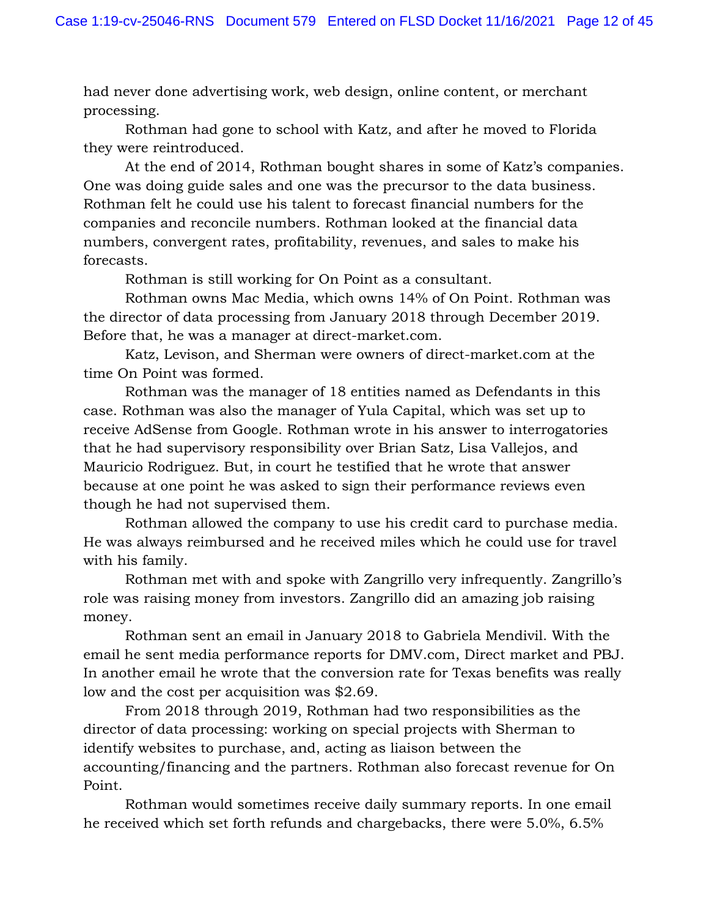had never done advertising work, web design, online content, or merchant processing.

Rothman had gone to school with Katz, and after he moved to Florida they were reintroduced.

At the end of 2014, Rothman bought shares in some of Katz's companies. One was doing guide sales and one was the precursor to the data business. Rothman felt he could use his talent to forecast financial numbers for the companies and reconcile numbers. Rothman looked at the financial data numbers, convergent rates, profitability, revenues, and sales to make his forecasts.

Rothman is still working for On Point as a consultant.

Rothman owns Mac Media, which owns 14% of On Point. Rothman was the director of data processing from January 2018 through December 2019. Before that, he was a manager at direct-market.com.

Katz, Levison, and Sherman were owners of direct-market.com at the time On Point was formed.

Rothman was the manager of 18 entities named as Defendants in this case. Rothman was also the manager of Yula Capital, which was set up to receive AdSense from Google. Rothman wrote in his answer to interrogatories that he had supervisory responsibility over Brian Satz, Lisa Vallejos, and Mauricio Rodriguez. But, in court he testified that he wrote that answer because at one point he was asked to sign their performance reviews even though he had not supervised them.

Rothman allowed the company to use his credit card to purchase media. He was always reimbursed and he received miles which he could use for travel with his family.

Rothman met with and spoke with Zangrillo very infrequently. Zangrillo's role was raising money from investors. Zangrillo did an amazing job raising money.

Rothman sent an email in January 2018 to Gabriela Mendivil. With the email he sent media performance reports for DMV.com, Direct market and PBJ. In another email he wrote that the conversion rate for Texas benefits was really low and the cost per acquisition was \$2.69.

From 2018 through 2019, Rothman had two responsibilities as the director of data processing: working on special projects with Sherman to identify websites to purchase, and, acting as liaison between the accounting/financing and the partners. Rothman also forecast revenue for On Point.

Rothman would sometimes receive daily summary reports. In one email he received which set forth refunds and chargebacks, there were 5.0%, 6.5%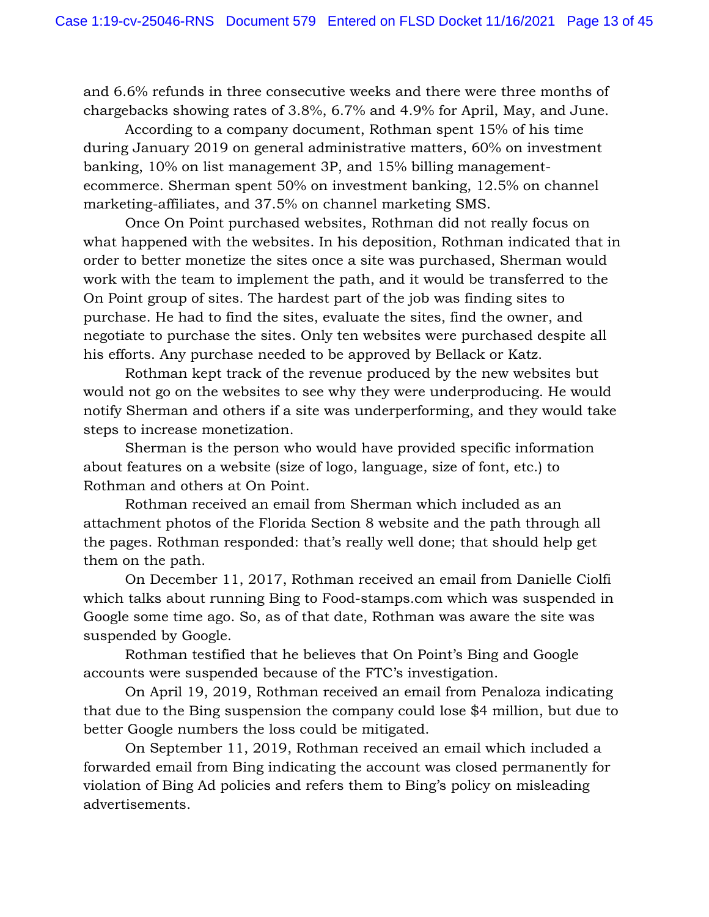and 6.6% refunds in three consecutive weeks and there were three months of chargebacks showing rates of 3.8%, 6.7% and 4.9% for April, May, and June.

According to a company document, Rothman spent 15% of his time during January 2019 on general administrative matters, 60% on investment banking, 10% on list management 3P, and 15% billing managementecommerce. Sherman spent 50% on investment banking, 12.5% on channel marketing-affiliates, and 37.5% on channel marketing SMS.

Once On Point purchased websites, Rothman did not really focus on what happened with the websites. In his deposition, Rothman indicated that in order to better monetize the sites once a site was purchased, Sherman would work with the team to implement the path, and it would be transferred to the On Point group of sites. The hardest part of the job was finding sites to purchase. He had to find the sites, evaluate the sites, find the owner, and negotiate to purchase the sites. Only ten websites were purchased despite all his efforts. Any purchase needed to be approved by Bellack or Katz.

Rothman kept track of the revenue produced by the new websites but would not go on the websites to see why they were underproducing. He would notify Sherman and others if a site was underperforming, and they would take steps to increase monetization.

Sherman is the person who would have provided specific information about features on a website (size of logo, language, size of font, etc.) to Rothman and others at On Point.

Rothman received an email from Sherman which included as an attachment photos of the Florida Section 8 website and the path through all the pages. Rothman responded: that's really well done; that should help get them on the path.

On December 11, 2017, Rothman received an email from Danielle Ciolfi which talks about running Bing to Food-stamps.com which was suspended in Google some time ago. So, as of that date, Rothman was aware the site was suspended by Google.

Rothman testified that he believes that On Point's Bing and Google accounts were suspended because of the FTC's investigation.

On April 19, 2019, Rothman received an email from Penaloza indicating that due to the Bing suspension the company could lose \$4 million, but due to better Google numbers the loss could be mitigated.

On September 11, 2019, Rothman received an email which included a forwarded email from Bing indicating the account was closed permanently for violation of Bing Ad policies and refers them to Bing's policy on misleading advertisements.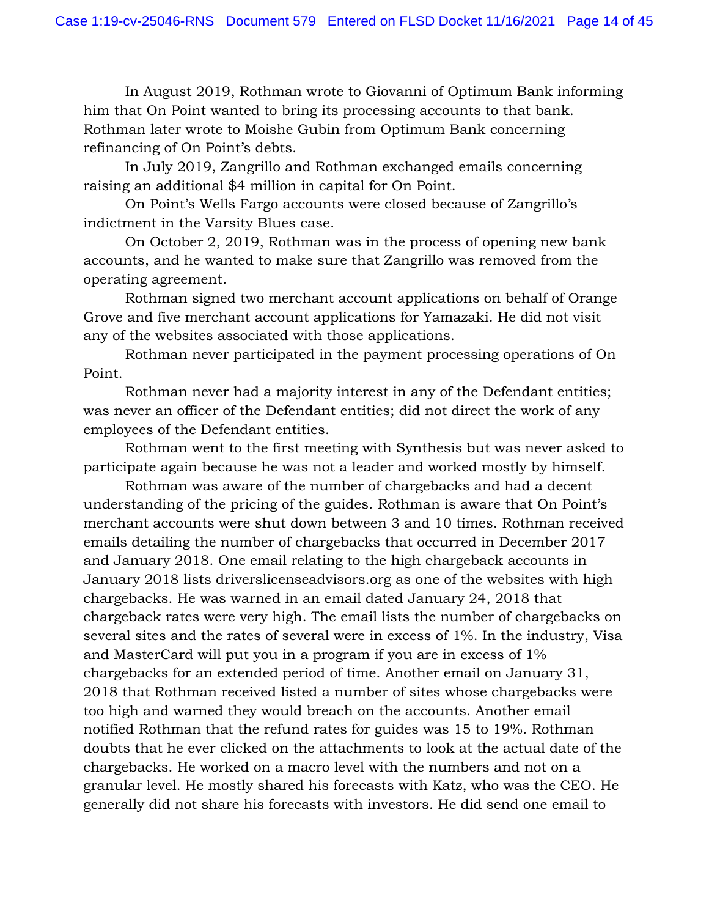In August 2019, Rothman wrote to Giovanni of Optimum Bank informing him that On Point wanted to bring its processing accounts to that bank. Rothman later wrote to Moishe Gubin from Optimum Bank concerning refinancing of On Point's debts.

In July 2019, Zangrillo and Rothman exchanged emails concerning raising an additional \$4 million in capital for On Point.

On Point's Wells Fargo accounts were closed because of Zangrillo's indictment in the Varsity Blues case.

On October 2, 2019, Rothman was in the process of opening new bank accounts, and he wanted to make sure that Zangrillo was removed from the operating agreement.

Rothman signed two merchant account applications on behalf of Orange Grove and five merchant account applications for Yamazaki. He did not visit any of the websites associated with those applications.

Rothman never participated in the payment processing operations of On Point.

Rothman never had a majority interest in any of the Defendant entities; was never an officer of the Defendant entities; did not direct the work of any employees of the Defendant entities.

Rothman went to the first meeting with Synthesis but was never asked to participate again because he was not a leader and worked mostly by himself.

Rothman was aware of the number of chargebacks and had a decent understanding of the pricing of the guides. Rothman is aware that On Point's merchant accounts were shut down between 3 and 10 times. Rothman received emails detailing the number of chargebacks that occurred in December 2017 and January 2018. One email relating to the high chargeback accounts in January 2018 lists driverslicenseadvisors.org as one of the websites with high chargebacks. He was warned in an email dated January 24, 2018 that chargeback rates were very high. The email lists the number of chargebacks on several sites and the rates of several were in excess of 1%. In the industry, Visa and MasterCard will put you in a program if you are in excess of 1% chargebacks for an extended period of time. Another email on January 31, 2018 that Rothman received listed a number of sites whose chargebacks were too high and warned they would breach on the accounts. Another email notified Rothman that the refund rates for guides was 15 to 19%. Rothman doubts that he ever clicked on the attachments to look at the actual date of the chargebacks. He worked on a macro level with the numbers and not on a granular level. He mostly shared his forecasts with Katz, who was the CEO. He generally did not share his forecasts with investors. He did send one email to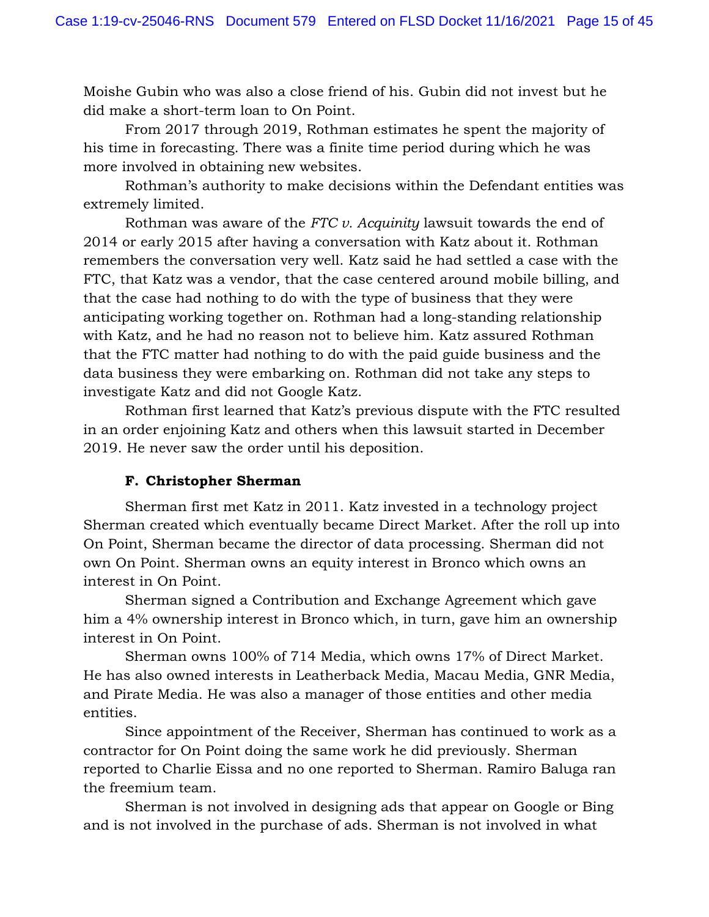Moishe Gubin who was also a close friend of his. Gubin did not invest but he did make a short-term loan to On Point.

From 2017 through 2019, Rothman estimates he spent the majority of his time in forecasting. There was a finite time period during which he was more involved in obtaining new websites.

Rothman's authority to make decisions within the Defendant entities was extremely limited.

Rothman was aware of the *FTC v. Acquinity* lawsuit towards the end of 2014 or early 2015 after having a conversation with Katz about it. Rothman remembers the conversation very well. Katz said he had settled a case with the FTC, that Katz was a vendor, that the case centered around mobile billing, and that the case had nothing to do with the type of business that they were anticipating working together on. Rothman had a long-standing relationship with Katz, and he had no reason not to believe him. Katz assured Rothman that the FTC matter had nothing to do with the paid guide business and the data business they were embarking on. Rothman did not take any steps to investigate Katz and did not Google Katz.

Rothman first learned that Katz's previous dispute with the FTC resulted in an order enjoining Katz and others when this lawsuit started in December 2019. He never saw the order until his deposition.

# **F. Christopher Sherman**

Sherman first met Katz in 2011. Katz invested in a technology project Sherman created which eventually became Direct Market. After the roll up into On Point, Sherman became the director of data processing. Sherman did not own On Point. Sherman owns an equity interest in Bronco which owns an interest in On Point.

Sherman signed a Contribution and Exchange Agreement which gave him a 4% ownership interest in Bronco which, in turn, gave him an ownership interest in On Point.

Sherman owns 100% of 714 Media, which owns 17% of Direct Market. He has also owned interests in Leatherback Media, Macau Media, GNR Media, and Pirate Media. He was also a manager of those entities and other media entities.

Since appointment of the Receiver, Sherman has continued to work as a contractor for On Point doing the same work he did previously. Sherman reported to Charlie Eissa and no one reported to Sherman. Ramiro Baluga ran the freemium team.

Sherman is not involved in designing ads that appear on Google or Bing and is not involved in the purchase of ads. Sherman is not involved in what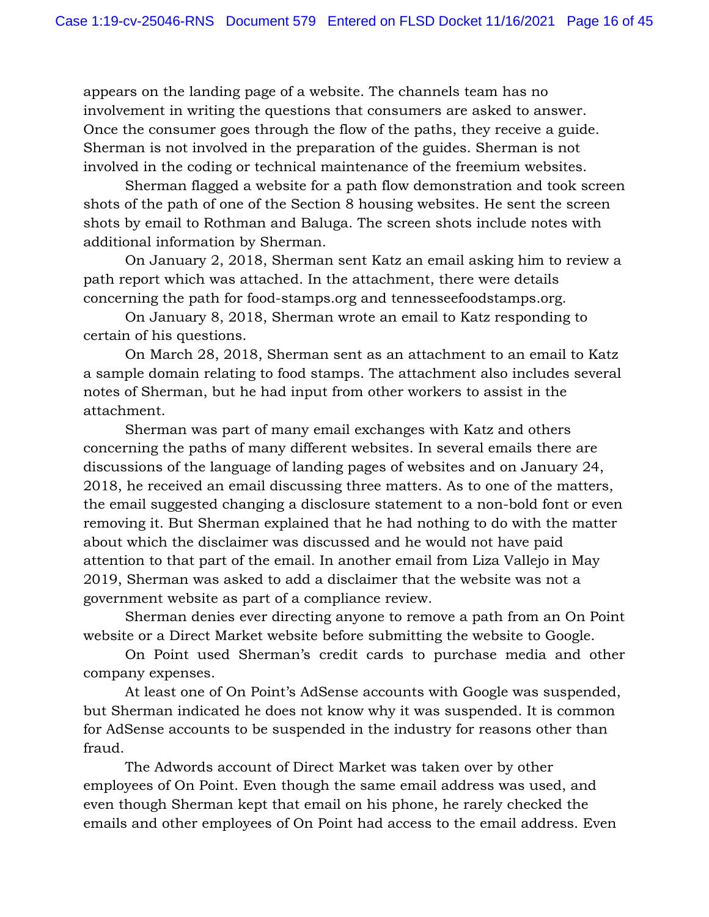appears on the landing page of a website. The channels team has no involvement in writing the questions that consumers are asked to answer. Once the consumer goes through the flow of the paths, they receive a guide. Sherman is not involved in the preparation of the guides. Sherman is not involved in the coding or technical maintenance of the freemium websites.

Sherman flagged a website for a path flow demonstration and took screen shots of the path of one of the Section 8 housing websites. He sent the screen shots by email to Rothman and Baluga. The screen shots include notes with additional information by Sherman.

On January 2, 2018, Sherman sent Katz an email asking him to review a path report which was attached. In the attachment, there were details concerning the path for food-stamps.org and tennesseefoodstamps.org.

On January 8, 2018, Sherman wrote an email to Katz responding to certain of his questions.

On March 28, 2018, Sherman sent as an attachment to an email to Katz a sample domain relating to food stamps. The attachment also includes several notes of Sherman, but he had input from other workers to assist in the attachment.

Sherman was part of many email exchanges with Katz and others concerning the paths of many different websites. In several emails there are discussions of the language of landing pages of websites and on January 24, 2018, he received an email discussing three matters. As to one of the matters, the email suggested changing a disclosure statement to a non-bold font or even removing it. But Sherman explained that he had nothing to do with the matter about which the disclaimer was discussed and he would not have paid attention to that part of the email. In another email from Liza Vallejo in May 2019, Sherman was asked to add a disclaimer that the website was not a government website as part of a compliance review.

Sherman denies ever directing anyone to remove a path from an On Point website or a Direct Market website before submitting the website to Google.

On Point used Sherman's credit cards to purchase media and other company expenses.

At least one of On Point's AdSense accounts with Google was suspended, but Sherman indicated he does not know why it was suspended. It is common for AdSense accounts to be suspended in the industry for reasons other than fraud.

The Adwords account of Direct Market was taken over by other employees of On Point. Even though the same email address was used, and even though Sherman kept that email on his phone, he rarely checked the emails and other employees of On Point had access to the email address. Even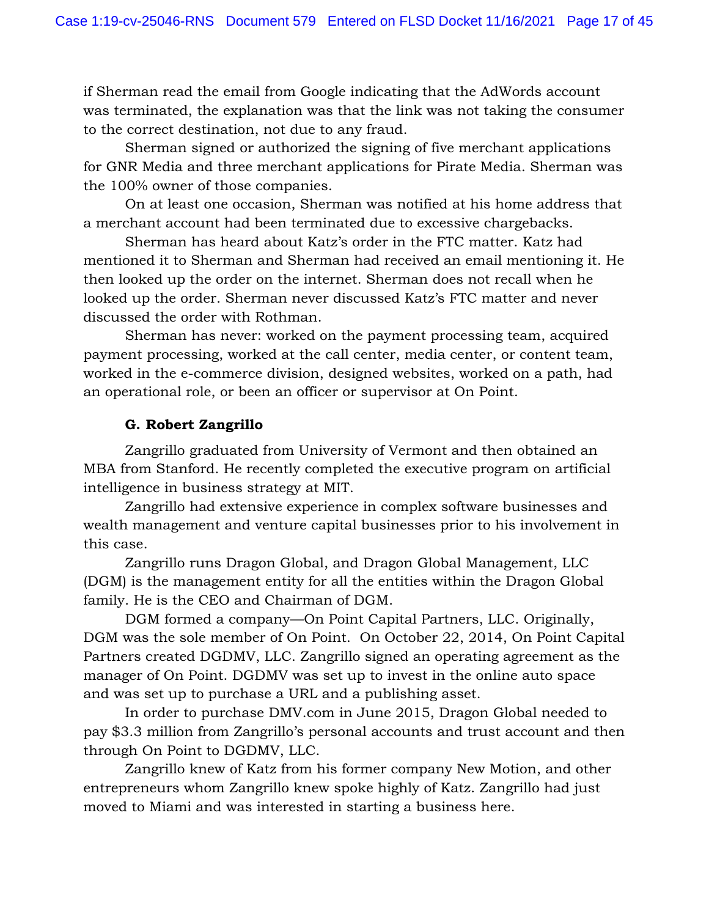if Sherman read the email from Google indicating that the AdWords account was terminated, the explanation was that the link was not taking the consumer to the correct destination, not due to any fraud.

Sherman signed or authorized the signing of five merchant applications for GNR Media and three merchant applications for Pirate Media. Sherman was the 100% owner of those companies.

On at least one occasion, Sherman was notified at his home address that a merchant account had been terminated due to excessive chargebacks.

Sherman has heard about Katz's order in the FTC matter. Katz had mentioned it to Sherman and Sherman had received an email mentioning it. He then looked up the order on the internet. Sherman does not recall when he looked up the order. Sherman never discussed Katz's FTC matter and never discussed the order with Rothman.

Sherman has never: worked on the payment processing team, acquired payment processing, worked at the call center, media center, or content team, worked in the e-commerce division, designed websites, worked on a path, had an operational role, or been an officer or supervisor at On Point.

### **G. Robert Zangrillo**

Zangrillo graduated from University of Vermont and then obtained an MBA from Stanford. He recently completed the executive program on artificial intelligence in business strategy at MIT.

Zangrillo had extensive experience in complex software businesses and wealth management and venture capital businesses prior to his involvement in this case.

Zangrillo runs Dragon Global, and Dragon Global Management, LLC (DGM) is the management entity for all the entities within the Dragon Global family. He is the CEO and Chairman of DGM.

DGM formed a company—On Point Capital Partners, LLC. Originally, DGM was the sole member of On Point. On October 22, 2014, On Point Capital Partners created DGDMV, LLC. Zangrillo signed an operating agreement as the manager of On Point. DGDMV was set up to invest in the online auto space and was set up to purchase a URL and a publishing asset.

In order to purchase DMV.com in June 2015, Dragon Global needed to pay \$3.3 million from Zangrillo's personal accounts and trust account and then through On Point to DGDMV, LLC.

Zangrillo knew of Katz from his former company New Motion, and other entrepreneurs whom Zangrillo knew spoke highly of Katz. Zangrillo had just moved to Miami and was interested in starting a business here.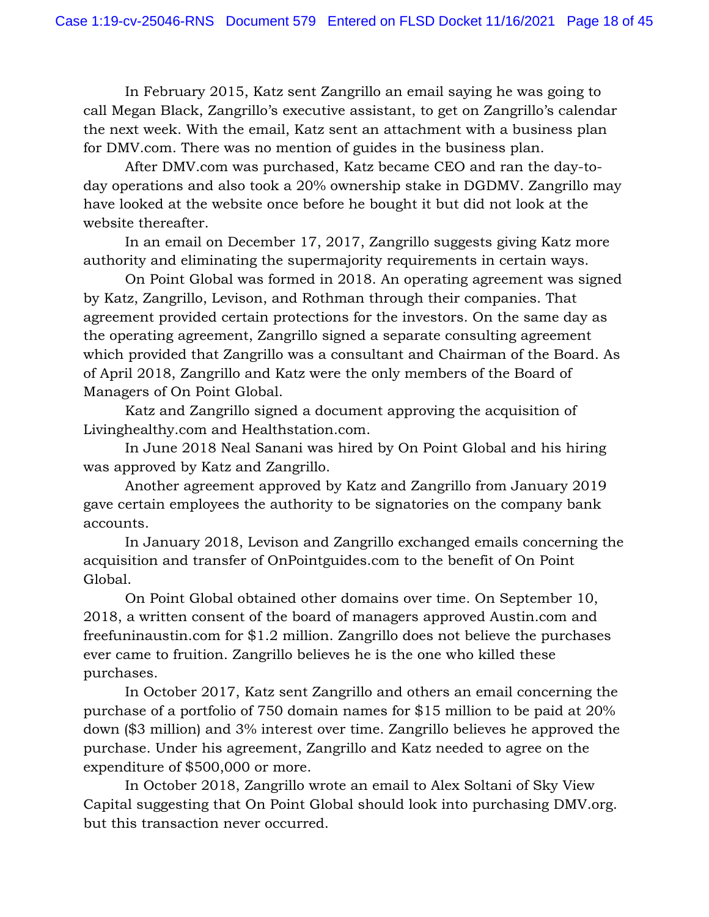In February 2015, Katz sent Zangrillo an email saying he was going to call Megan Black, Zangrillo's executive assistant, to get on Zangrillo's calendar the next week. With the email, Katz sent an attachment with a business plan for DMV.com. There was no mention of guides in the business plan.

After DMV.com was purchased, Katz became CEO and ran the day-today operations and also took a 20% ownership stake in DGDMV. Zangrillo may have looked at the website once before he bought it but did not look at the website thereafter.

In an email on December 17, 2017, Zangrillo suggests giving Katz more authority and eliminating the supermajority requirements in certain ways.

On Point Global was formed in 2018. An operating agreement was signed by Katz, Zangrillo, Levison, and Rothman through their companies. That agreement provided certain protections for the investors. On the same day as the operating agreement, Zangrillo signed a separate consulting agreement which provided that Zangrillo was a consultant and Chairman of the Board. As of April 2018, Zangrillo and Katz were the only members of the Board of Managers of On Point Global.

Katz and Zangrillo signed a document approving the acquisition of Livinghealthy.com and Healthstation.com.

In June 2018 Neal Sanani was hired by On Point Global and his hiring was approved by Katz and Zangrillo.

Another agreement approved by Katz and Zangrillo from January 2019 gave certain employees the authority to be signatories on the company bank accounts.

In January 2018, Levison and Zangrillo exchanged emails concerning the acquisition and transfer of OnPointguides.com to the benefit of On Point Global.

On Point Global obtained other domains over time. On September 10, 2018, a written consent of the board of managers approved Austin.com and freefuninaustin.com for \$1.2 million. Zangrillo does not believe the purchases ever came to fruition. Zangrillo believes he is the one who killed these purchases.

In October 2017, Katz sent Zangrillo and others an email concerning the purchase of a portfolio of 750 domain names for \$15 million to be paid at 20% down (\$3 million) and 3% interest over time. Zangrillo believes he approved the purchase. Under his agreement, Zangrillo and Katz needed to agree on the expenditure of \$500,000 or more.

In October 2018, Zangrillo wrote an email to Alex Soltani of Sky View Capital suggesting that On Point Global should look into purchasing DMV.org. but this transaction never occurred.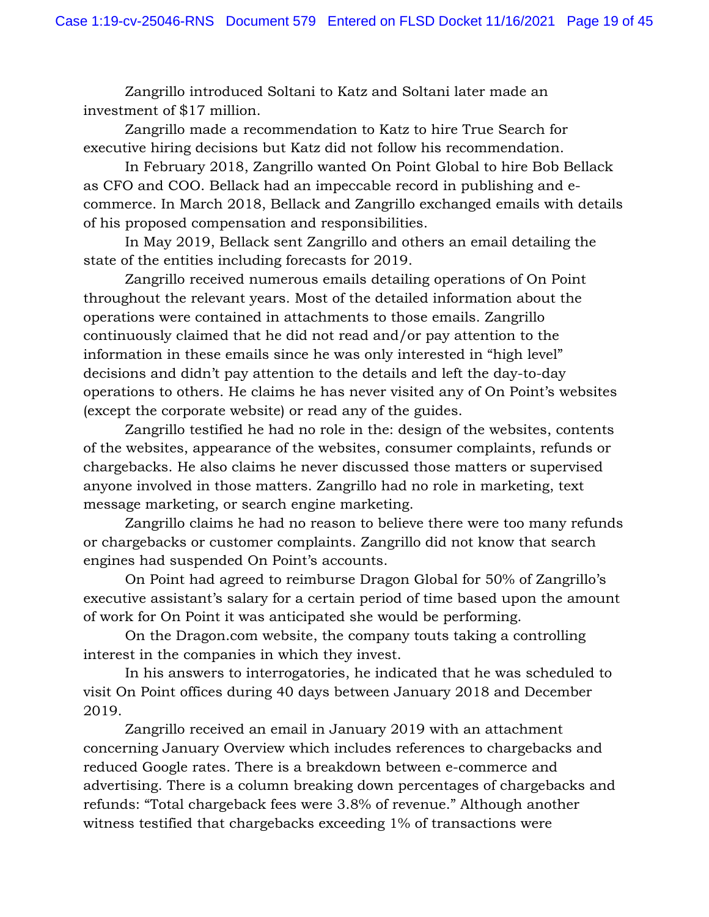Zangrillo introduced Soltani to Katz and Soltani later made an investment of \$17 million.

Zangrillo made a recommendation to Katz to hire True Search for executive hiring decisions but Katz did not follow his recommendation.

In February 2018, Zangrillo wanted On Point Global to hire Bob Bellack as CFO and COO. Bellack had an impeccable record in publishing and ecommerce. In March 2018, Bellack and Zangrillo exchanged emails with details of his proposed compensation and responsibilities.

In May 2019, Bellack sent Zangrillo and others an email detailing the state of the entities including forecasts for 2019.

Zangrillo received numerous emails detailing operations of On Point throughout the relevant years. Most of the detailed information about the operations were contained in attachments to those emails. Zangrillo continuously claimed that he did not read and/or pay attention to the information in these emails since he was only interested in "high level" decisions and didn't pay attention to the details and left the day-to-day operations to others. He claims he has never visited any of On Point's websites (except the corporate website) or read any of the guides.

Zangrillo testified he had no role in the: design of the websites, contents of the websites, appearance of the websites, consumer complaints, refunds or chargebacks. He also claims he never discussed those matters or supervised anyone involved in those matters. Zangrillo had no role in marketing, text message marketing, or search engine marketing.

Zangrillo claims he had no reason to believe there were too many refunds or chargebacks or customer complaints. Zangrillo did not know that search engines had suspended On Point's accounts.

On Point had agreed to reimburse Dragon Global for 50% of Zangrillo's executive assistant's salary for a certain period of time based upon the amount of work for On Point it was anticipated she would be performing.

On the Dragon.com website, the company touts taking a controlling interest in the companies in which they invest.

In his answers to interrogatories, he indicated that he was scheduled to visit On Point offices during 40 days between January 2018 and December 2019.

Zangrillo received an email in January 2019 with an attachment concerning January Overview which includes references to chargebacks and reduced Google rates. There is a breakdown between e-commerce and advertising. There is a column breaking down percentages of chargebacks and refunds: "Total chargeback fees were 3.8% of revenue." Although another witness testified that chargebacks exceeding 1% of transactions were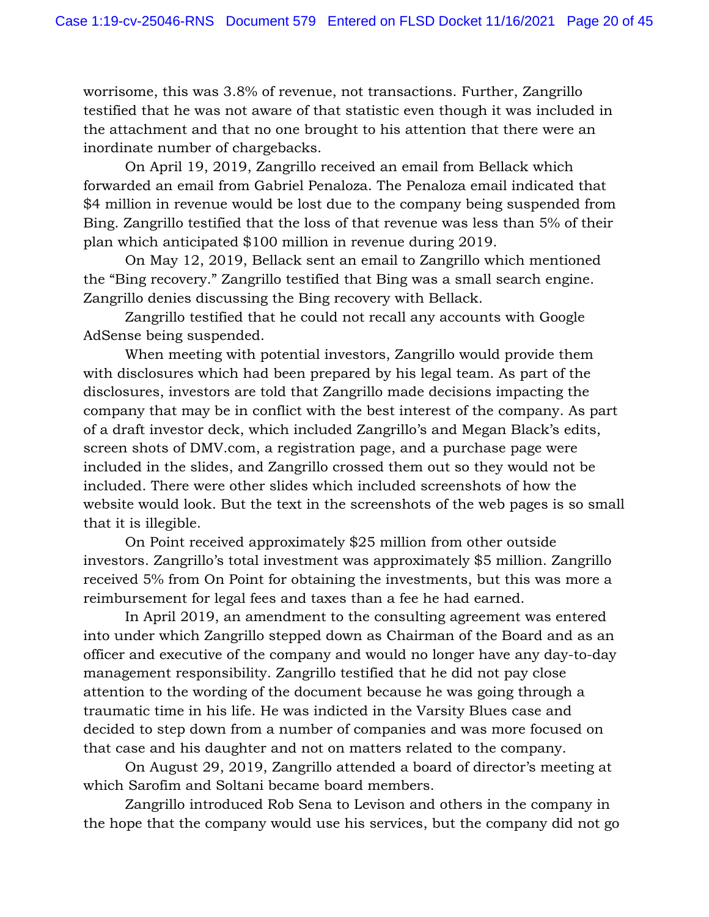worrisome, this was 3.8% of revenue, not transactions. Further, Zangrillo testified that he was not aware of that statistic even though it was included in the attachment and that no one brought to his attention that there were an inordinate number of chargebacks.

On April 19, 2019, Zangrillo received an email from Bellack which forwarded an email from Gabriel Penaloza. The Penaloza email indicated that \$4 million in revenue would be lost due to the company being suspended from Bing. Zangrillo testified that the loss of that revenue was less than 5% of their plan which anticipated \$100 million in revenue during 2019.

On May 12, 2019, Bellack sent an email to Zangrillo which mentioned the "Bing recovery." Zangrillo testified that Bing was a small search engine. Zangrillo denies discussing the Bing recovery with Bellack.

Zangrillo testified that he could not recall any accounts with Google AdSense being suspended.

When meeting with potential investors, Zangrillo would provide them with disclosures which had been prepared by his legal team. As part of the disclosures, investors are told that Zangrillo made decisions impacting the company that may be in conflict with the best interest of the company. As part of a draft investor deck, which included Zangrillo's and Megan Black's edits, screen shots of DMV.com, a registration page, and a purchase page were included in the slides, and Zangrillo crossed them out so they would not be included. There were other slides which included screenshots of how the website would look. But the text in the screenshots of the web pages is so small that it is illegible.

On Point received approximately \$25 million from other outside investors. Zangrillo's total investment was approximately \$5 million. Zangrillo received 5% from On Point for obtaining the investments, but this was more a reimbursement for legal fees and taxes than a fee he had earned.

In April 2019, an amendment to the consulting agreement was entered into under which Zangrillo stepped down as Chairman of the Board and as an officer and executive of the company and would no longer have any day-to-day management responsibility. Zangrillo testified that he did not pay close attention to the wording of the document because he was going through a traumatic time in his life. He was indicted in the Varsity Blues case and decided to step down from a number of companies and was more focused on that case and his daughter and not on matters related to the company.

On August 29, 2019, Zangrillo attended a board of director's meeting at which Sarofim and Soltani became board members.

Zangrillo introduced Rob Sena to Levison and others in the company in the hope that the company would use his services, but the company did not go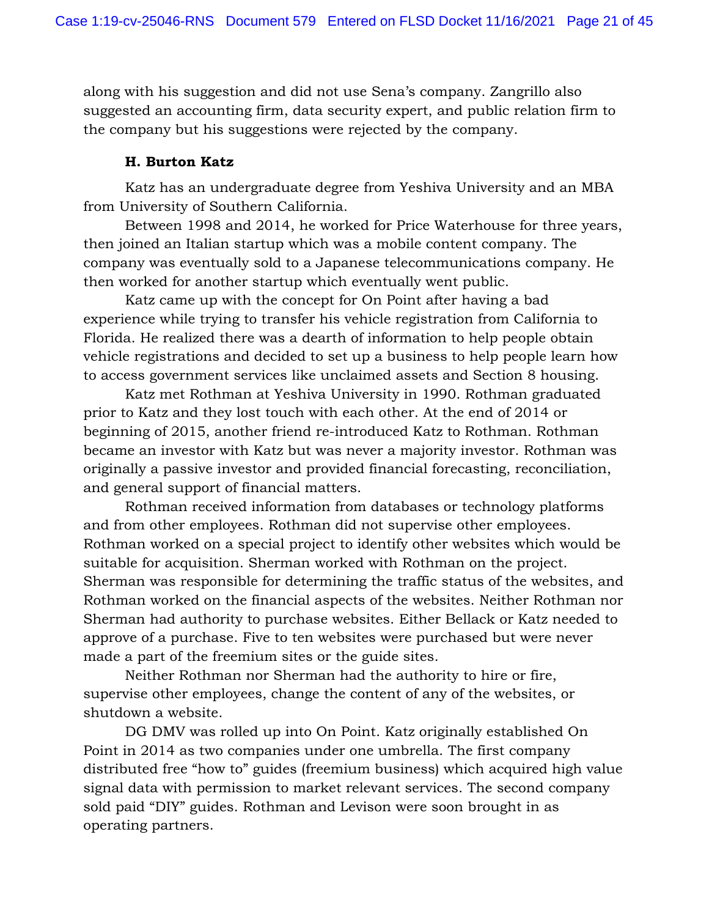along with his suggestion and did not use Sena's company. Zangrillo also suggested an accounting firm, data security expert, and public relation firm to the company but his suggestions were rejected by the company.

# **H. Burton Katz**

Katz has an undergraduate degree from Yeshiva University and an MBA from University of Southern California.

Between 1998 and 2014, he worked for Price Waterhouse for three years, then joined an Italian startup which was a mobile content company. The company was eventually sold to a Japanese telecommunications company. He then worked for another startup which eventually went public.

Katz came up with the concept for On Point after having a bad experience while trying to transfer his vehicle registration from California to Florida. He realized there was a dearth of information to help people obtain vehicle registrations and decided to set up a business to help people learn how to access government services like unclaimed assets and Section 8 housing.

Katz met Rothman at Yeshiva University in 1990. Rothman graduated prior to Katz and they lost touch with each other. At the end of 2014 or beginning of 2015, another friend re-introduced Katz to Rothman. Rothman became an investor with Katz but was never a majority investor. Rothman was originally a passive investor and provided financial forecasting, reconciliation, and general support of financial matters.

Rothman received information from databases or technology platforms and from other employees. Rothman did not supervise other employees. Rothman worked on a special project to identify other websites which would be suitable for acquisition. Sherman worked with Rothman on the project. Sherman was responsible for determining the traffic status of the websites, and Rothman worked on the financial aspects of the websites. Neither Rothman nor Sherman had authority to purchase websites. Either Bellack or Katz needed to approve of a purchase. Five to ten websites were purchased but were never made a part of the freemium sites or the guide sites.

Neither Rothman nor Sherman had the authority to hire or fire, supervise other employees, change the content of any of the websites, or shutdown a website.

DG DMV was rolled up into On Point. Katz originally established On Point in 2014 as two companies under one umbrella. The first company distributed free "how to" guides (freemium business) which acquired high value signal data with permission to market relevant services. The second company sold paid "DIY" guides. Rothman and Levison were soon brought in as operating partners.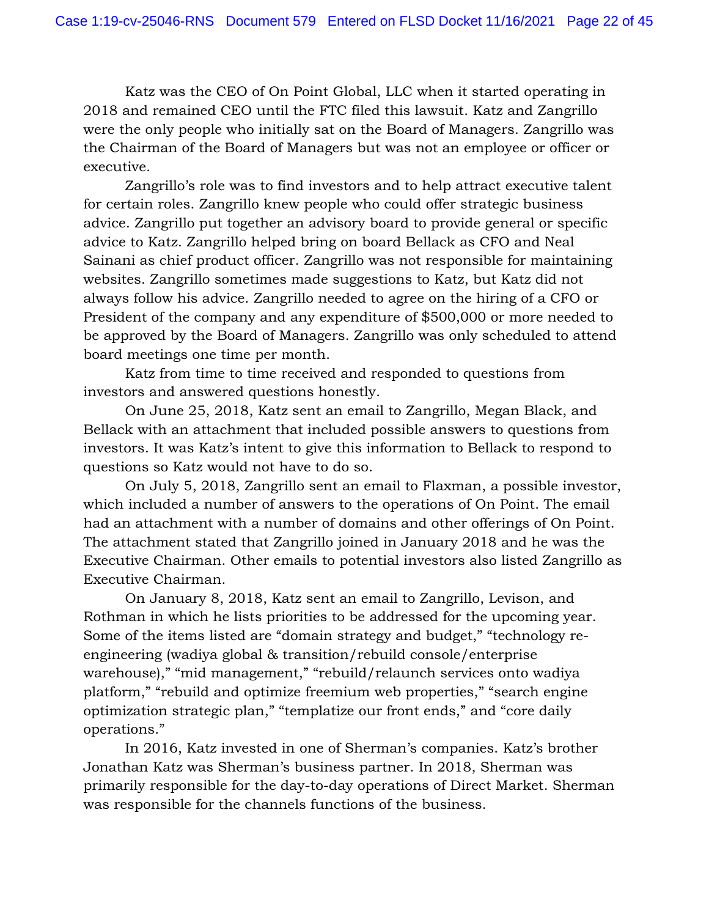Katz was the CEO of On Point Global, LLC when it started operating in 2018 and remained CEO until the FTC filed this lawsuit. Katz and Zangrillo were the only people who initially sat on the Board of Managers. Zangrillo was the Chairman of the Board of Managers but was not an employee or officer or executive.

Zangrillo's role was to find investors and to help attract executive talent for certain roles. Zangrillo knew people who could offer strategic business advice. Zangrillo put together an advisory board to provide general or specific advice to Katz. Zangrillo helped bring on board Bellack as CFO and Neal Sainani as chief product officer. Zangrillo was not responsible for maintaining websites. Zangrillo sometimes made suggestions to Katz, but Katz did not always follow his advice. Zangrillo needed to agree on the hiring of a CFO or President of the company and any expenditure of \$500,000 or more needed to be approved by the Board of Managers. Zangrillo was only scheduled to attend board meetings one time per month.

Katz from time to time received and responded to questions from investors and answered questions honestly.

On June 25, 2018, Katz sent an email to Zangrillo, Megan Black, and Bellack with an attachment that included possible answers to questions from investors. It was Katz's intent to give this information to Bellack to respond to questions so Katz would not have to do so.

On July 5, 2018, Zangrillo sent an email to Flaxman, a possible investor, which included a number of answers to the operations of On Point. The email had an attachment with a number of domains and other offerings of On Point. The attachment stated that Zangrillo joined in January 2018 and he was the Executive Chairman. Other emails to potential investors also listed Zangrillo as Executive Chairman.

On January 8, 2018, Katz sent an email to Zangrillo, Levison, and Rothman in which he lists priorities to be addressed for the upcoming year. Some of the items listed are "domain strategy and budget," "technology reengineering (wadiya global & transition/rebuild console/enterprise warehouse)," "mid management," "rebuild/relaunch services onto wadiya platform," "rebuild and optimize freemium web properties," "search engine optimization strategic plan," "templatize our front ends," and "core daily operations."

In 2016, Katz invested in one of Sherman's companies. Katz's brother Jonathan Katz was Sherman's business partner. In 2018, Sherman was primarily responsible for the day-to-day operations of Direct Market. Sherman was responsible for the channels functions of the business.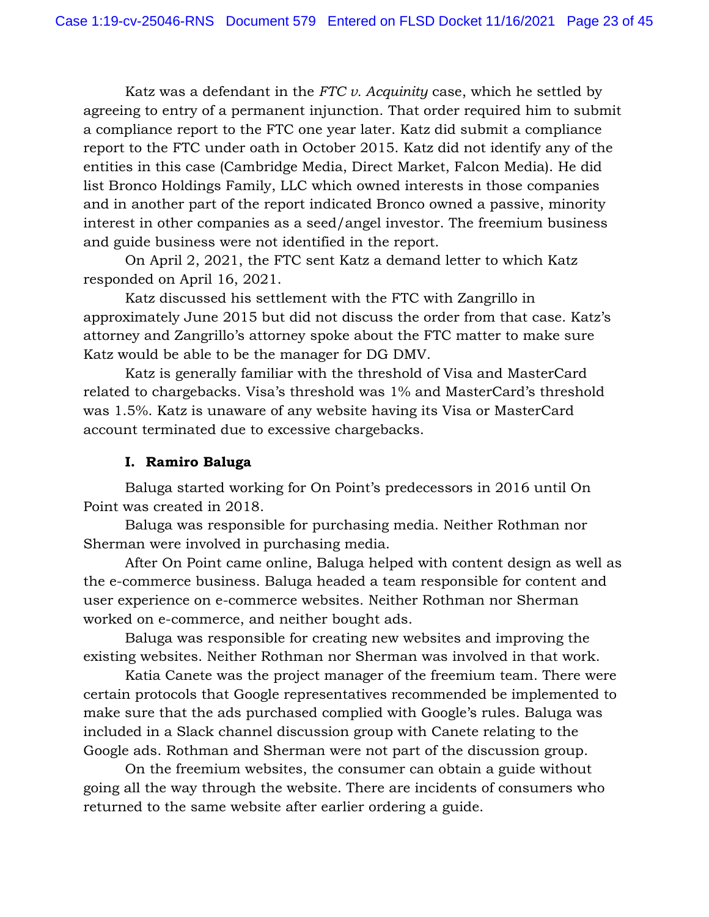Katz was a defendant in the *FTC v. Acquinity* case, which he settled by agreeing to entry of a permanent injunction. That order required him to submit a compliance report to the FTC one year later. Katz did submit a compliance report to the FTC under oath in October 2015. Katz did not identify any of the entities in this case (Cambridge Media, Direct Market, Falcon Media). He did list Bronco Holdings Family, LLC which owned interests in those companies and in another part of the report indicated Bronco owned a passive, minority interest in other companies as a seed/angel investor. The freemium business and guide business were not identified in the report.

On April 2, 2021, the FTC sent Katz a demand letter to which Katz responded on April 16, 2021.

Katz discussed his settlement with the FTC with Zangrillo in approximately June 2015 but did not discuss the order from that case. Katz's attorney and Zangrillo's attorney spoke about the FTC matter to make sure Katz would be able to be the manager for DG DMV.

Katz is generally familiar with the threshold of Visa and MasterCard related to chargebacks. Visa's threshold was 1% and MasterCard's threshold was 1.5%. Katz is unaware of any website having its Visa or MasterCard account terminated due to excessive chargebacks.

# **I. Ramiro Baluga**

Baluga started working for On Point's predecessors in 2016 until On Point was created in 2018.

Baluga was responsible for purchasing media. Neither Rothman nor Sherman were involved in purchasing media.

After On Point came online, Baluga helped with content design as well as the e-commerce business. Baluga headed a team responsible for content and user experience on e-commerce websites. Neither Rothman nor Sherman worked on e-commerce, and neither bought ads.

Baluga was responsible for creating new websites and improving the existing websites. Neither Rothman nor Sherman was involved in that work.

Katia Canete was the project manager of the freemium team. There were certain protocols that Google representatives recommended be implemented to make sure that the ads purchased complied with Google's rules. Baluga was included in a Slack channel discussion group with Canete relating to the Google ads. Rothman and Sherman were not part of the discussion group.

On the freemium websites, the consumer can obtain a guide without going all the way through the website. There are incidents of consumers who returned to the same website after earlier ordering a guide.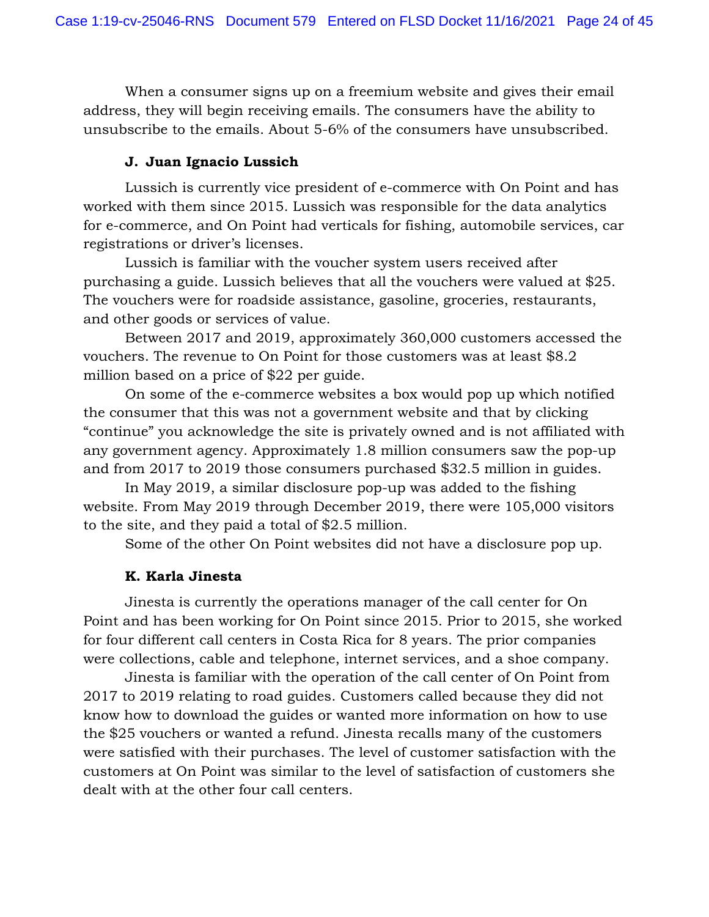When a consumer signs up on a freemium website and gives their email address, they will begin receiving emails. The consumers have the ability to unsubscribe to the emails. About 5-6% of the consumers have unsubscribed.

### **J. Juan Ignacio Lussich**

Lussich is currently vice president of e-commerce with On Point and has worked with them since 2015. Lussich was responsible for the data analytics for e-commerce, and On Point had verticals for fishing, automobile services, car registrations or driver's licenses.

Lussich is familiar with the voucher system users received after purchasing a guide. Lussich believes that all the vouchers were valued at \$25. The vouchers were for roadside assistance, gasoline, groceries, restaurants, and other goods or services of value.

Between 2017 and 2019, approximately 360,000 customers accessed the vouchers. The revenue to On Point for those customers was at least \$8.2 million based on a price of \$22 per guide.

On some of the e-commerce websites a box would pop up which notified the consumer that this was not a government website and that by clicking "continue" you acknowledge the site is privately owned and is not affiliated with any government agency. Approximately 1.8 million consumers saw the pop-up and from 2017 to 2019 those consumers purchased \$32.5 million in guides.

In May 2019, a similar disclosure pop-up was added to the fishing website. From May 2019 through December 2019, there were 105,000 visitors to the site, and they paid a total of \$2.5 million.

Some of the other On Point websites did not have a disclosure pop up.

### **K. Karla Jinesta**

Jinesta is currently the operations manager of the call center for On Point and has been working for On Point since 2015. Prior to 2015, she worked for four different call centers in Costa Rica for 8 years. The prior companies were collections, cable and telephone, internet services, and a shoe company.

Jinesta is familiar with the operation of the call center of On Point from 2017 to 2019 relating to road guides. Customers called because they did not know how to download the guides or wanted more information on how to use the \$25 vouchers or wanted a refund. Jinesta recalls many of the customers were satisfied with their purchases. The level of customer satisfaction with the customers at On Point was similar to the level of satisfaction of customers she dealt with at the other four call centers.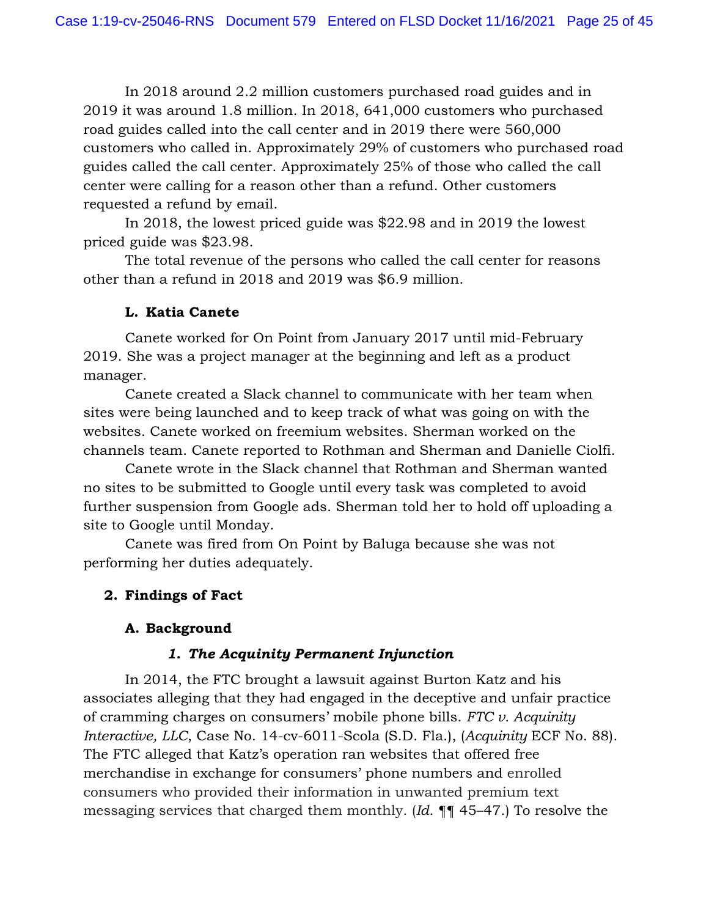In 2018 around 2.2 million customers purchased road guides and in 2019 it was around 1.8 million. In 2018, 641,000 customers who purchased road guides called into the call center and in 2019 there were 560,000 customers who called in. Approximately 29% of customers who purchased road guides called the call center. Approximately 25% of those who called the call center were calling for a reason other than a refund. Other customers requested a refund by email.

In 2018, the lowest priced guide was \$22.98 and in 2019 the lowest priced guide was \$23.98.

The total revenue of the persons who called the call center for reasons other than a refund in 2018 and 2019 was \$6.9 million.

# **L. Katia Canete**

Canete worked for On Point from January 2017 until mid-February 2019. She was a project manager at the beginning and left as a product manager.

Canete created a Slack channel to communicate with her team when sites were being launched and to keep track of what was going on with the websites. Canete worked on freemium websites. Sherman worked on the channels team. Canete reported to Rothman and Sherman and Danielle Ciolfi.

Canete wrote in the Slack channel that Rothman and Sherman wanted no sites to be submitted to Google until every task was completed to avoid further suspension from Google ads. Sherman told her to hold off uploading a site to Google until Monday.

Canete was fired from On Point by Baluga because she was not performing her duties adequately.

# **2. Findings of Fact**

# **A. Background**

# *1. The Acquinity Permanent Injunction*

In 2014, the FTC brought a lawsuit against Burton Katz and his associates alleging that they had engaged in the deceptive and unfair practice of cramming charges on consumers' mobile phone bills. *FTC v. Acquinity Interactive, LLC*, Case No. 14-cv-6011-Scola (S.D. Fla.), (*Acquinity* ECF No. 88). The FTC alleged that Katz's operation ran websites that offered free merchandise in exchange for consumers' phone numbers and enrolled consumers who provided their information in unwanted premium text messaging services that charged them monthly. (*Id*. ¶¶ 45–47.) To resolve the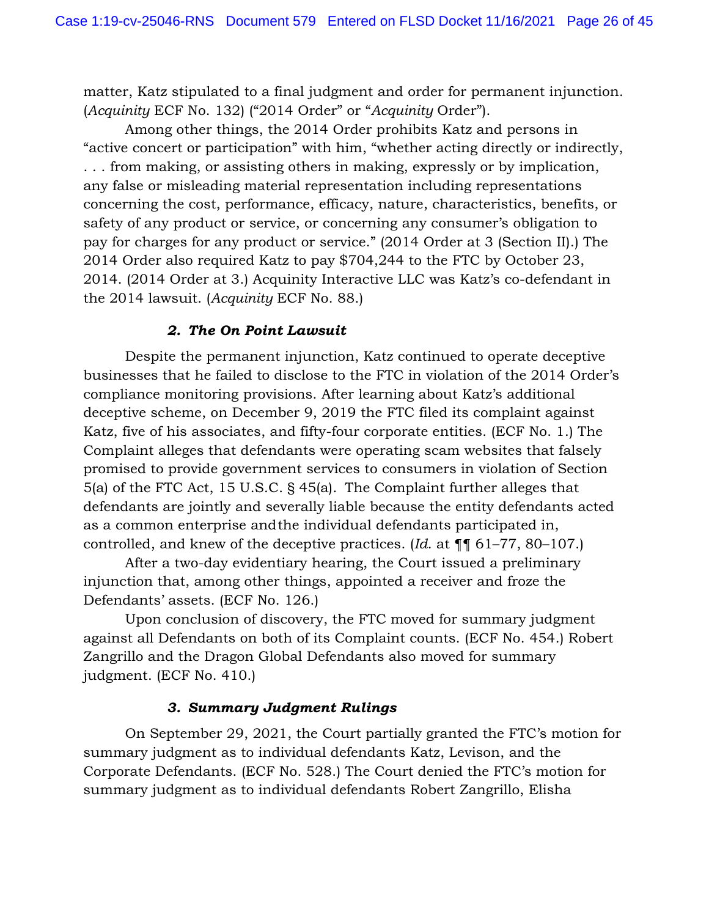matter, Katz stipulated to a final judgment and order for permanent injunction. (*Acquinity* ECF No. 132) ("2014 Order" or "*Acquinity* Order").

Among other things, the 2014 Order prohibits Katz and persons in "active concert or participation" with him, "whether acting directly or indirectly, . . . from making, or assisting others in making, expressly or by implication, any false or misleading material representation including representations concerning the cost, performance, efficacy, nature, characteristics, benefits, or safety of any product or service, or concerning any consumer's obligation to pay for charges for any product or service." (2014 Order at 3 (Section II).) The 2014 Order also required Katz to pay \$704,244 to the FTC by October 23, 2014. (2014 Order at 3.) Acquinity Interactive LLC was Katz's co-defendant in the 2014 lawsuit. (*Acquinity* ECF No. 88.)

# *2. The On Point Lawsuit*

Despite the permanent injunction, Katz continued to operate deceptive businesses that he failed to disclose to the FTC in violation of the 2014 Order's compliance monitoring provisions. After learning about Katz's additional deceptive scheme, on December 9, 2019 the FTC filed its complaint against Katz, five of his associates, and fifty-four corporate entities. (ECF No. 1.) The Complaint alleges that defendants were operating scam websites that falsely promised to provide government services to consumers in violation of Section 5(a) of the FTC Act, 15 U.S.C. § 45(a). The Complaint further alleges that defendants are jointly and severally liable because the entity defendants acted as a common enterprise and the individual defendants participated in, controlled, and knew of the deceptive practices. (*Id*. at ¶¶ 61–77, 80–107.)

After a two-day evidentiary hearing, the Court issued a preliminary injunction that, among other things, appointed a receiver and froze the Defendants' assets. (ECF No. 126.)

Upon conclusion of discovery, the FTC moved for summary judgment against all Defendants on both of its Complaint counts. (ECF No. 454.) Robert Zangrillo and the Dragon Global Defendants also moved for summary judgment. (ECF No. 410.)

### *3. Summary Judgment Rulings*

On September 29, 2021, the Court partially granted the FTC's motion for summary judgment as to individual defendants Katz, Levison, and the Corporate Defendants. (ECF No. 528.) The Court denied the FTC's motion for summary judgment as to individual defendants Robert Zangrillo, Elisha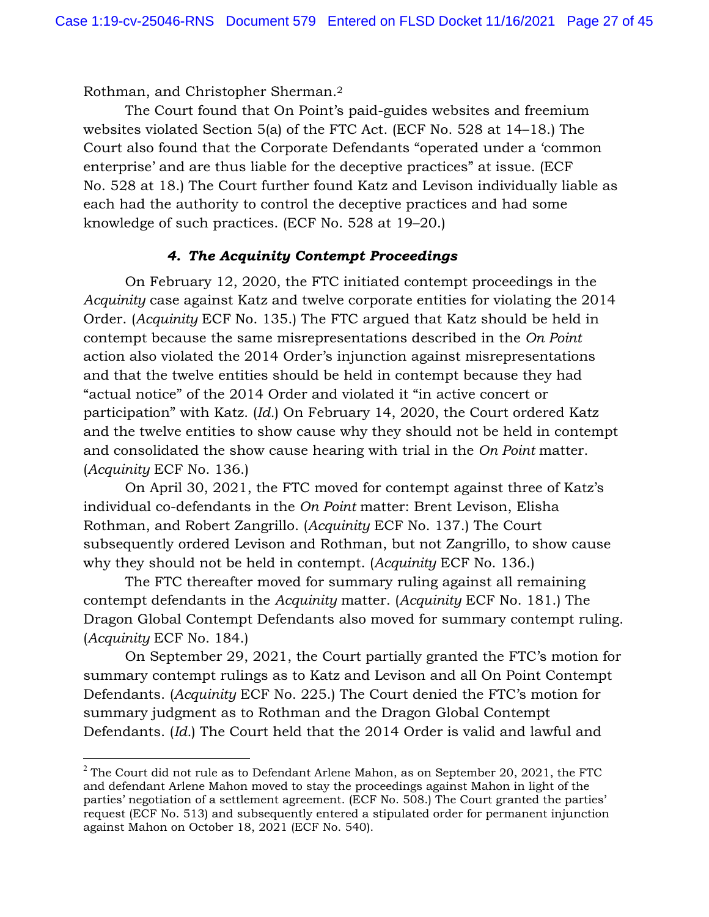Rothman, and Christopher Sherman.2

The Court found that On Point's paid-guides websites and freemium websites violated Section 5(a) of the FTC Act. (ECF No. 528 at 14–18.) The Court also found that the Corporate Defendants "operated under a 'common enterprise' and are thus liable for the deceptive practices" at issue. (ECF No. 528 at 18.) The Court further found Katz and Levison individually liable as each had the authority to control the deceptive practices and had some knowledge of such practices. (ECF No. 528 at 19–20.)

# *4. The Acquinity Contempt Proceedings*

On February 12, 2020, the FTC initiated contempt proceedings in the *Acquinity* case against Katz and twelve corporate entities for violating the 2014 Order. (*Acquinity* ECF No. 135.) The FTC argued that Katz should be held in contempt because the same misrepresentations described in the *On Point*  action also violated the 2014 Order's injunction against misrepresentations and that the twelve entities should be held in contempt because they had "actual notice" of the 2014 Order and violated it "in active concert or participation" with Katz. (*Id.*) On February 14, 2020, the Court ordered Katz and the twelve entities to show cause why they should not be held in contempt and consolidated the show cause hearing with trial in the *On Point* matter. (*Acquinity* ECF No. 136.)

On April 30, 2021, the FTC moved for contempt against three of Katz's individual co-defendants in the *On Point* matter: Brent Levison, Elisha Rothman, and Robert Zangrillo. (*Acquinity* ECF No. 137.) The Court subsequently ordered Levison and Rothman, but not Zangrillo, to show cause why they should not be held in contempt. (*Acquinity* ECF No. 136.)

The FTC thereafter moved for summary ruling against all remaining contempt defendants in the *Acquinity* matter. (*Acquinity* ECF No. 181.) The Dragon Global Contempt Defendants also moved for summary contempt ruling. (*Acquinity* ECF No. 184.)

On September 29, 2021, the Court partially granted the FTC's motion for summary contempt rulings as to Katz and Levison and all On Point Contempt Defendants. (*Acquinity* ECF No. 225.) The Court denied the FTC's motion for summary judgment as to Rothman and the Dragon Global Contempt Defendants. (*Id.*) The Court held that the 2014 Order is valid and lawful and

 $2$  The Court did not rule as to Defendant Arlene Mahon, as on September 20, 2021, the FTC and defendant Arlene Mahon moved to stay the proceedings against Mahon in light of the parties' negotiation of a settlement agreement. (ECF No. 508.) The Court granted the parties' request (ECF No. 513) and subsequently entered a stipulated order for permanent injunction against Mahon on October 18, 2021 (ECF No. 540).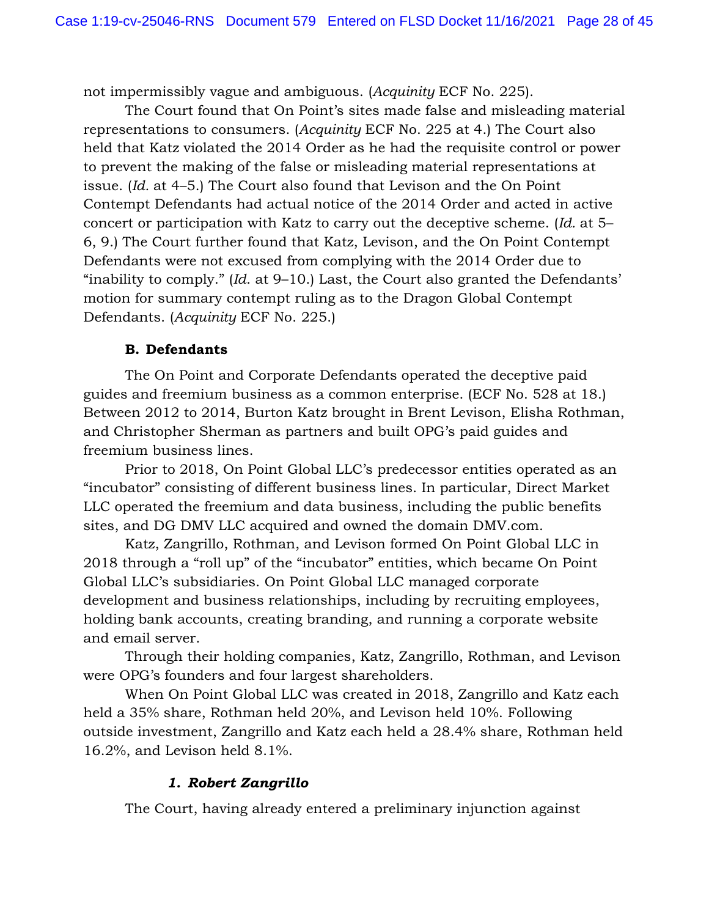not impermissibly vague and ambiguous. (*Acquinity* ECF No. 225).

The Court found that On Point's sites made false and misleading material representations to consumers. (*Acquinity* ECF No. 225 at 4.) The Court also held that Katz violated the 2014 Order as he had the requisite control or power to prevent the making of the false or misleading material representations at issue. (*Id.* at 4–5.) The Court also found that Levison and the On Point Contempt Defendants had actual notice of the 2014 Order and acted in active concert or participation with Katz to carry out the deceptive scheme. (*Id.* at 5– 6, 9.) The Court further found that Katz, Levison, and the On Point Contempt Defendants were not excused from complying with the 2014 Order due to "inability to comply." (*Id*. at 9–10.) Last, the Court also granted the Defendants' motion for summary contempt ruling as to the Dragon Global Contempt Defendants. (*Acquinity* ECF No. 225.)

### **B. Defendants**

The On Point and Corporate Defendants operated the deceptive paid guides and freemium business as a common enterprise. (ECF No. 528 at 18.) Between 2012 to 2014, Burton Katz brought in Brent Levison, Elisha Rothman, and Christopher Sherman as partners and built OPG's paid guides and freemium business lines.

Prior to 2018, On Point Global LLC's predecessor entities operated as an "incubator" consisting of different business lines. In particular, Direct Market LLC operated the freemium and data business, including the public benefits sites, and DG DMV LLC acquired and owned the domain DMV.com.

Katz, Zangrillo, Rothman, and Levison formed On Point Global LLC in 2018 through a "roll up" of the "incubator" entities, which became On Point Global LLC's subsidiaries. On Point Global LLC managed corporate development and business relationships, including by recruiting employees, holding bank accounts, creating branding, and running a corporate website and email server.

Through their holding companies, Katz, Zangrillo, Rothman, and Levison were OPG's founders and four largest shareholders.

When On Point Global LLC was created in 2018, Zangrillo and Katz each held a 35% share, Rothman held 20%, and Levison held 10%. Following outside investment, Zangrillo and Katz each held a 28.4% share, Rothman held 16.2%, and Levison held 8.1%.

# *1. Robert Zangrillo*

The Court, having already entered a preliminary injunction against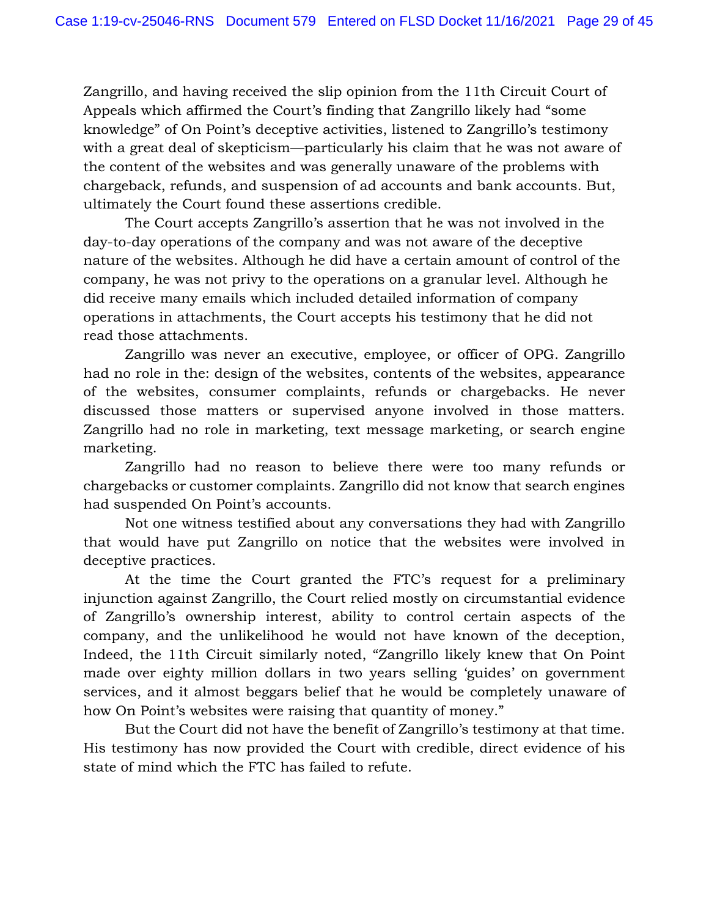Zangrillo, and having received the slip opinion from the 11th Circuit Court of Appeals which affirmed the Court's finding that Zangrillo likely had "some knowledge" of On Point's deceptive activities, listened to Zangrillo's testimony with a great deal of skepticism—particularly his claim that he was not aware of the content of the websites and was generally unaware of the problems with chargeback, refunds, and suspension of ad accounts and bank accounts. But, ultimately the Court found these assertions credible.

The Court accepts Zangrillo's assertion that he was not involved in the day-to-day operations of the company and was not aware of the deceptive nature of the websites. Although he did have a certain amount of control of the company, he was not privy to the operations on a granular level. Although he did receive many emails which included detailed information of company operations in attachments, the Court accepts his testimony that he did not read those attachments.

Zangrillo was never an executive, employee, or officer of OPG. Zangrillo had no role in the: design of the websites, contents of the websites, appearance of the websites, consumer complaints, refunds or chargebacks. He never discussed those matters or supervised anyone involved in those matters. Zangrillo had no role in marketing, text message marketing, or search engine marketing.

Zangrillo had no reason to believe there were too many refunds or chargebacks or customer complaints. Zangrillo did not know that search engines had suspended On Point's accounts.

Not one witness testified about any conversations they had with Zangrillo that would have put Zangrillo on notice that the websites were involved in deceptive practices.

At the time the Court granted the FTC's request for a preliminary injunction against Zangrillo, the Court relied mostly on circumstantial evidence of Zangrillo's ownership interest, ability to control certain aspects of the company, and the unlikelihood he would not have known of the deception, Indeed, the 11th Circuit similarly noted, "Zangrillo likely knew that On Point made over eighty million dollars in two years selling 'guides' on government services, and it almost beggars belief that he would be completely unaware of how On Point's websites were raising that quantity of money."

But the Court did not have the benefit of Zangrillo's testimony at that time. His testimony has now provided the Court with credible, direct evidence of his state of mind which the FTC has failed to refute.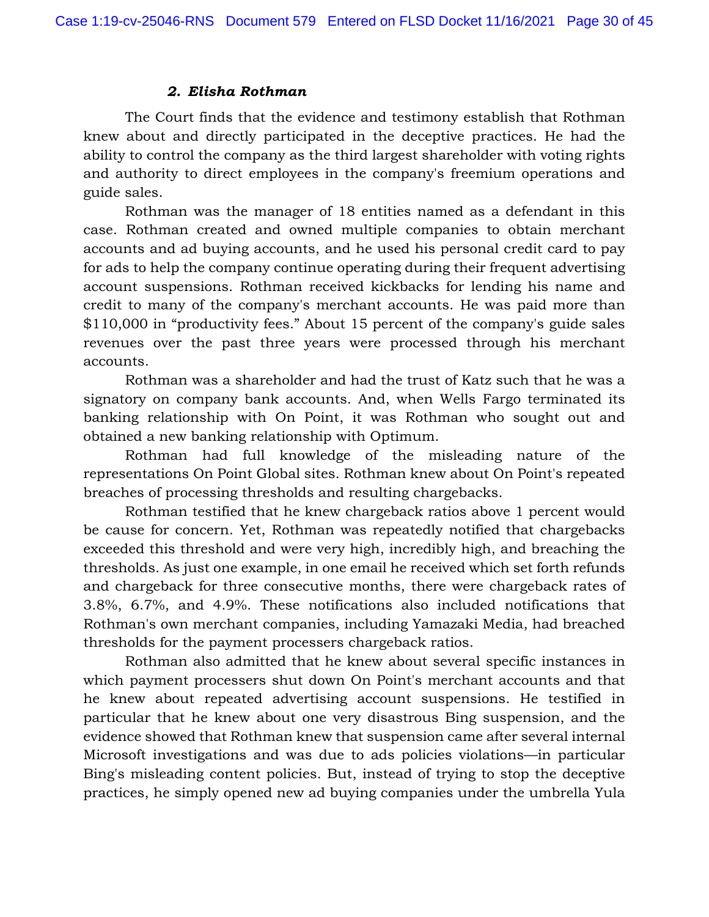### *2. Elisha Rothman*

The Court finds that the evidence and testimony establish that Rothman knew about and directly participated in the deceptive practices. He had the ability to control the company as the third largest shareholder with voting rights and authority to direct employees in the company's freemium operations and guide sales.

Rothman was the manager of 18 entities named as a defendant in this case. Rothman created and owned multiple companies to obtain merchant accounts and ad buying accounts, and he used his personal credit card to pay for ads to help the company continue operating during their frequent advertising account suspensions. Rothman received kickbacks for lending his name and credit to many of the company's merchant accounts. He was paid more than \$110,000 in "productivity fees." About 15 percent of the company's guide sales revenues over the past three years were processed through his merchant accounts.

Rothman was a shareholder and had the trust of Katz such that he was a signatory on company bank accounts. And, when Wells Fargo terminated its banking relationship with On Point, it was Rothman who sought out and obtained a new banking relationship with Optimum.

Rothman had full knowledge of the misleading nature of the representations On Point Global sites. Rothman knew about On Point's repeated breaches of processing thresholds and resulting chargebacks.

Rothman testified that he knew chargeback ratios above 1 percent would be cause for concern. Yet, Rothman was repeatedly notified that chargebacks exceeded this threshold and were very high, incredibly high, and breaching the thresholds. As just one example, in one email he received which set forth refunds and chargeback for three consecutive months, there were chargeback rates of 3.8%, 6.7%, and 4.9%. These notifications also included notifications that Rothman's own merchant companies, including Yamazaki Media, had breached thresholds for the payment processers chargeback ratios.

Rothman also admitted that he knew about several specific instances in which payment processers shut down On Point's merchant accounts and that he knew about repeated advertising account suspensions. He testified in particular that he knew about one very disastrous Bing suspension, and the evidence showed that Rothman knew that suspension came after several internal Microsoft investigations and was due to ads policies violations—in particular Bing's misleading content policies. But, instead of trying to stop the deceptive practices, he simply opened new ad buying companies under the umbrella Yula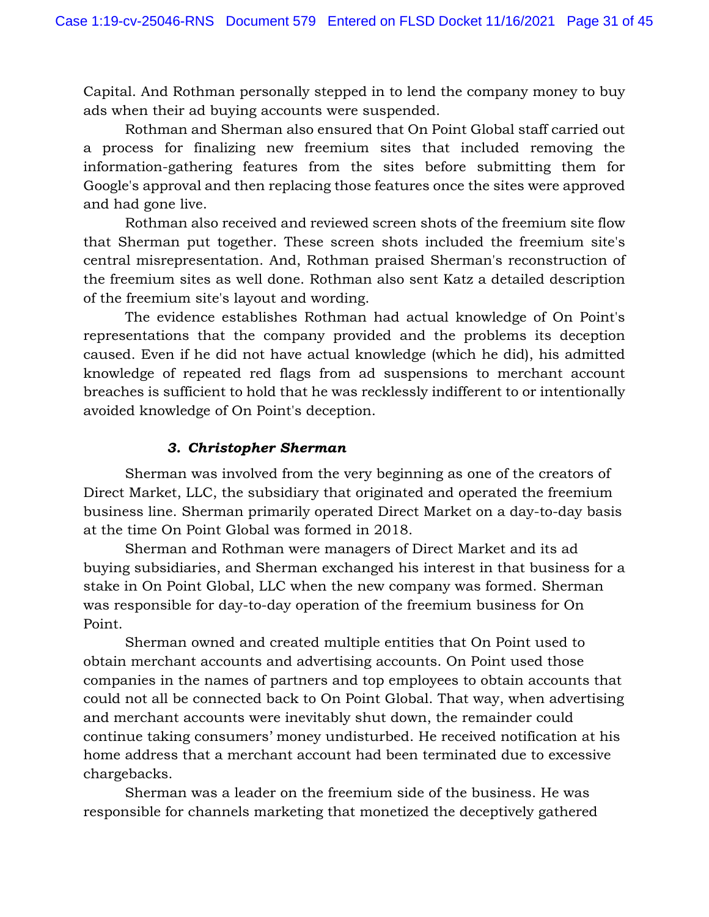Capital. And Rothman personally stepped in to lend the company money to buy ads when their ad buying accounts were suspended.

Rothman and Sherman also ensured that On Point Global staff carried out a process for finalizing new freemium sites that included removing the information-gathering features from the sites before submitting them for Google's approval and then replacing those features once the sites were approved and had gone live.

Rothman also received and reviewed screen shots of the freemium site flow that Sherman put together. These screen shots included the freemium site's central misrepresentation. And, Rothman praised Sherman's reconstruction of the freemium sites as well done. Rothman also sent Katz a detailed description of the freemium site's layout and wording.

The evidence establishes Rothman had actual knowledge of On Point's representations that the company provided and the problems its deception caused. Even if he did not have actual knowledge (which he did), his admitted knowledge of repeated red flags from ad suspensions to merchant account breaches is sufficient to hold that he was recklessly indifferent to or intentionally avoided knowledge of On Point's deception.

# *3. Christopher Sherman*

Sherman was involved from the very beginning as one of the creators of Direct Market, LLC, the subsidiary that originated and operated the freemium business line. Sherman primarily operated Direct Market on a day-to-day basis at the time On Point Global was formed in 2018.

Sherman and Rothman were managers of Direct Market and its ad buying subsidiaries, and Sherman exchanged his interest in that business for a stake in On Point Global, LLC when the new company was formed. Sherman was responsible for day-to-day operation of the freemium business for On Point.

Sherman owned and created multiple entities that On Point used to obtain merchant accounts and advertising accounts. On Point used those companies in the names of partners and top employees to obtain accounts that could not all be connected back to On Point Global. That way, when advertising and merchant accounts were inevitably shut down, the remainder could continue taking consumers' money undisturbed. He received notification at his home address that a merchant account had been terminated due to excessive chargebacks.

Sherman was a leader on the freemium side of the business. He was responsible for channels marketing that monetized the deceptively gathered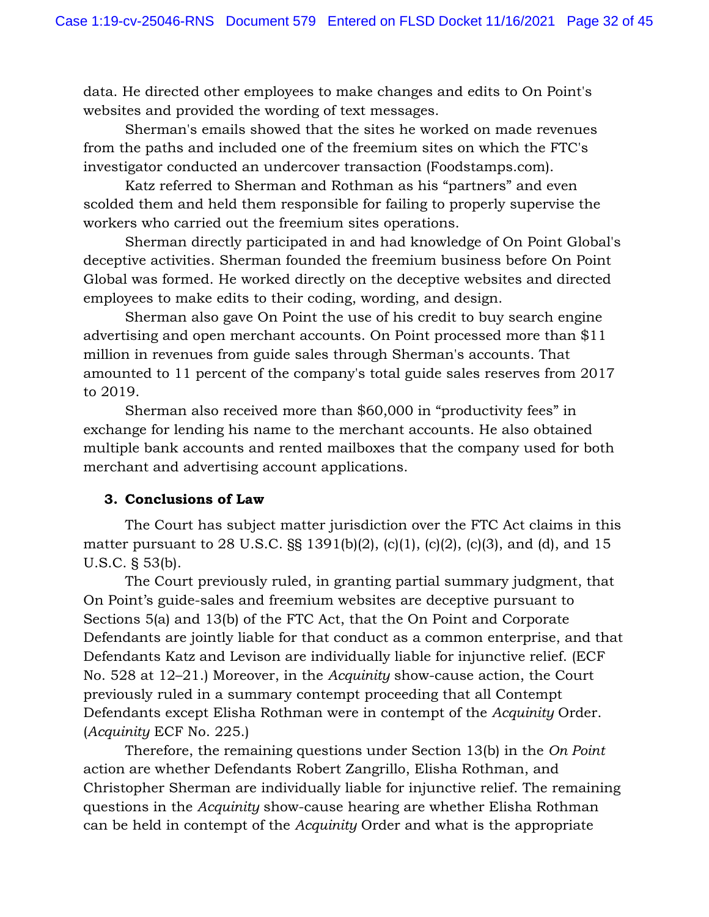data. He directed other employees to make changes and edits to On Point's websites and provided the wording of text messages.

 Sherman's emails showed that the sites he worked on made revenues from the paths and included one of the freemium sites on which the FTC's investigator conducted an undercover transaction (Foodstamps.com).

Katz referred to Sherman and Rothman as his "partners" and even scolded them and held them responsible for failing to properly supervise the workers who carried out the freemium sites operations.

Sherman directly participated in and had knowledge of On Point Global's deceptive activities. Sherman founded the freemium business before On Point Global was formed. He worked directly on the deceptive websites and directed employees to make edits to their coding, wording, and design.

Sherman also gave On Point the use of his credit to buy search engine advertising and open merchant accounts. On Point processed more than \$11 million in revenues from guide sales through Sherman's accounts. That amounted to 11 percent of the company's total guide sales reserves from 2017 to 2019.

Sherman also received more than \$60,000 in "productivity fees" in exchange for lending his name to the merchant accounts. He also obtained multiple bank accounts and rented mailboxes that the company used for both merchant and advertising account applications.

# **3. Conclusions of Law**

The Court has subject matter jurisdiction over the FTC Act claims in this matter pursuant to 28 U.S.C. §§ 1391(b)(2), (c)(1), (c)(2), (c)(3), and (d), and 15 U.S.C. § 53(b).

The Court previously ruled, in granting partial summary judgment, that On Point's guide-sales and freemium websites are deceptive pursuant to Sections 5(a) and 13(b) of the FTC Act, that the On Point and Corporate Defendants are jointly liable for that conduct as a common enterprise, and that Defendants Katz and Levison are individually liable for injunctive relief. (ECF No. 528 at 12–21.) Moreover, in the *Acquinity* show-cause action, the Court previously ruled in a summary contempt proceeding that all Contempt Defendants except Elisha Rothman were in contempt of the *Acquinity* Order. (*Acquinity* ECF No. 225.)

Therefore, the remaining questions under Section 13(b) in the *On Point*  action are whether Defendants Robert Zangrillo, Elisha Rothman, and Christopher Sherman are individually liable for injunctive relief. The remaining questions in the *Acquinity* show-cause hearing are whether Elisha Rothman can be held in contempt of the *Acquinity* Order and what is the appropriate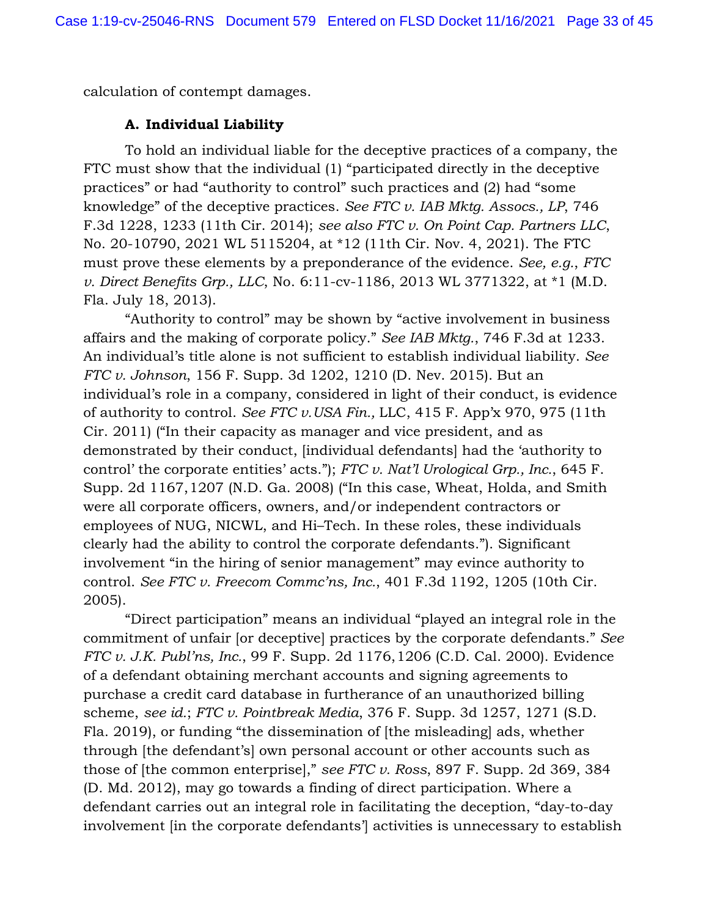calculation of contempt damages.

# **A. Individual Liability**

To hold an individual liable for the deceptive practices of a company, the FTC must show that the individual (1) "participated directly in the deceptive practices" or had "authority to control" such practices and (2) had "some knowledge" of the deceptive practices. *See FTC v. IAB Mktg. Assocs., LP*, 746 F.3d 1228, 1233 (11th Cir. 2014); *see also FTC v. On Point Cap. Partners LLC*, No. 20-10790, 2021 WL 5115204, at \*12 (11th Cir. Nov. 4, 2021). The FTC must prove these elements by a preponderance of the evidence. *See, e.g.*, *FTC v. Direct Benefits Grp., LLC*, No. 6:11-cv-1186, 2013 WL 3771322, at \*1 (M.D. Fla. July 18, 2013).

"Authority to control" may be shown by "active involvement in business affairs and the making of corporate policy." *See IAB Mktg.*, 746 F.3d at 1233. An individual's title alone is not sufficient to establish individual liability. *See FTC v. Johnson*, 156 F. Supp. 3d 1202, 1210 (D. Nev. 2015). But an individual's role in a company, considered in light of their conduct, is evidence of authority to control. *See FTC v. USA Fin.,* LLC, 415 F. App'x 970, 975 (11th Cir. 2011) ("In their capacity as manager and vice president, and as demonstrated by their conduct, [individual defendants] had the 'authority to control' the corporate entities' acts."); *FTC v. Nat'l Urological Grp., Inc.*, 645 F. Supp. 2d 1167, 1207 (N.D. Ga. 2008) ("In this case, Wheat, Holda, and Smith were all corporate officers, owners, and/or independent contractors or employees of NUG, NICWL, and Hi–Tech. In these roles, these individuals clearly had the ability to control the corporate defendants."). Significant involvement "in the hiring of senior management" may evince authority to control. *See FTC v. Freecom Commc'ns, Inc.*, 401 F.3d 1192, 1205 (10th Cir. 2005).

"Direct participation" means an individual "played an integral role in the commitment of unfair [or deceptive] practices by the corporate defendants." *See FTC v. J.K. Publ'ns, Inc.*, 99 F. Supp. 2d 1176, 1206 (C.D. Cal. 2000). Evidence of a defendant obtaining merchant accounts and signing agreements to purchase a credit card database in furtherance of an unauthorized billing scheme, *see id.*; *FTC v. Pointbreak Media*, 376 F. Supp. 3d 1257, 1271 (S.D. Fla. 2019), or funding "the dissemination of [the misleading] ads, whether through [the defendant's] own personal account or other accounts such as those of [the common enterprise]," *see FTC v. Ross*, 897 F. Supp. 2d 369, 384 (D. Md. 2012), may go towards a finding of direct participation. Where a defendant carries out an integral role in facilitating the deception, "day-to-day involvement [in the corporate defendants'] activities is unnecessary to establish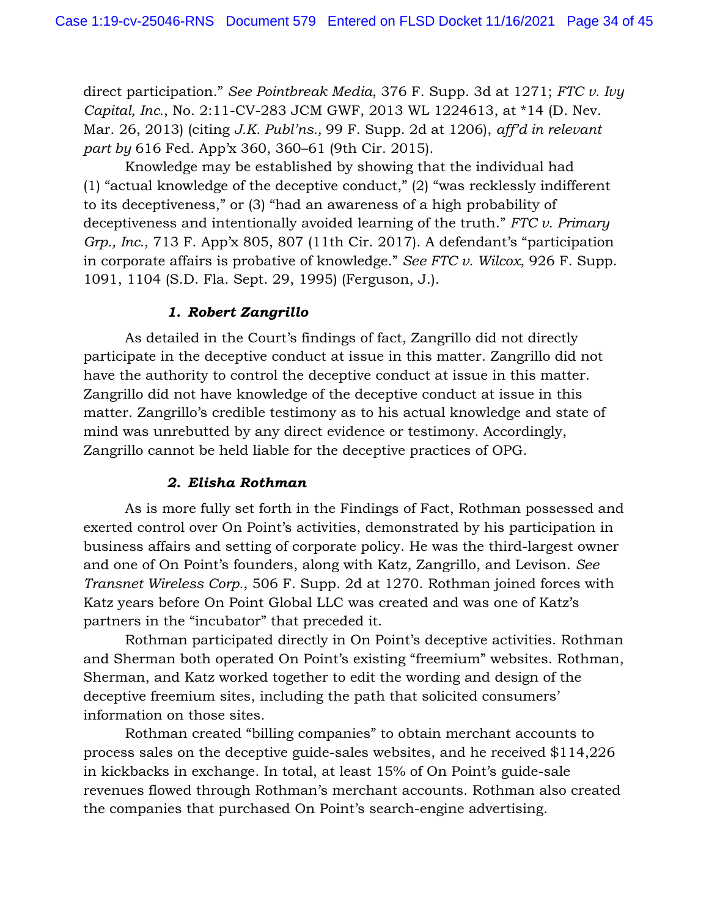direct participation." *See Pointbreak Media*, 376 F. Supp. 3d at 1271; *FTC v. Ivy Capital, Inc.*, No. 2:11-CV-283 JCM GWF, 2013 WL 1224613, at \*14 (D. Nev. Mar. 26, 2013) (citing *J.K. Publ'ns.,* 99 F. Supp. 2d at 1206), *aff'd in relevant part by* 616 Fed. App'x 360, 360–61 (9th Cir. 2015).

Knowledge may be established by showing that the individual had (1) "actual knowledge of the deceptive conduct," (2) "was recklessly indifferent to its deceptiveness," or (3) "had an awareness of a high probability of deceptiveness and intentionally avoided learning of the truth." *FTC v. Primary Grp., Inc.*, 713 F. App'x 805, 807 (11th Cir. 2017). A defendant's "participation in corporate affairs is probative of knowledge." *See FTC v. Wilcox*, 926 F. Supp. 1091, 1104 (S.D. Fla. Sept. 29, 1995) (Ferguson, J.).

### *1. Robert Zangrillo*

As detailed in the Court's findings of fact, Zangrillo did not directly participate in the deceptive conduct at issue in this matter. Zangrillo did not have the authority to control the deceptive conduct at issue in this matter. Zangrillo did not have knowledge of the deceptive conduct at issue in this matter. Zangrillo's credible testimony as to his actual knowledge and state of mind was unrebutted by any direct evidence or testimony. Accordingly, Zangrillo cannot be held liable for the deceptive practices of OPG.

### *2. Elisha Rothman*

As is more fully set forth in the Findings of Fact, Rothman possessed and exerted control over On Point's activities, demonstrated by his participation in business affairs and setting of corporate policy. He was the third-largest owner and one of On Point's founders, along with Katz, Zangrillo, and Levison. *See Transnet Wireless Corp.*, 506 F. Supp. 2d at 1270. Rothman joined forces with Katz years before On Point Global LLC was created and was one of Katz's partners in the "incubator" that preceded it.

Rothman participated directly in On Point's deceptive activities. Rothman and Sherman both operated On Point's existing "freemium" websites. Rothman, Sherman, and Katz worked together to edit the wording and design of the deceptive freemium sites, including the path that solicited consumers' information on those sites.

Rothman created "billing companies" to obtain merchant accounts to process sales on the deceptive guide-sales websites, and he received \$114,226 in kickbacks in exchange. In total, at least 15% of On Point's guide-sale revenues flowed through Rothman's merchant accounts. Rothman also created the companies that purchased On Point's search-engine advertising.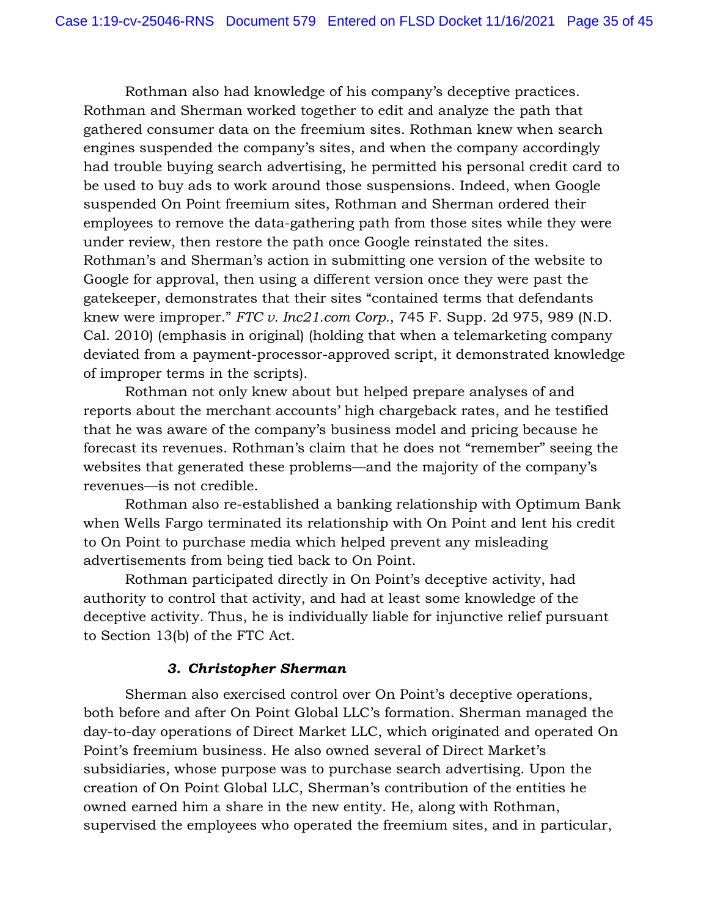Rothman also had knowledge of his company's deceptive practices. Rothman and Sherman worked together to edit and analyze the path that gathered consumer data on the freemium sites. Rothman knew when search engines suspended the company's sites, and when the company accordingly had trouble buying search advertising, he permitted his personal credit card to be used to buy ads to work around those suspensions. Indeed, when Google suspended On Point freemium sites, Rothman and Sherman ordered their employees to remove the data-gathering path from those sites while they were under review, then restore the path once Google reinstated the sites. Rothman's and Sherman's action in submitting one version of the website to Google for approval, then using a different version once they were past the gatekeeper, demonstrates that their sites "contained terms that defendants knew were improper." *FTC v. Inc21.com Corp.*, 745 F. Supp. 2d 975, 989 (N.D. Cal. 2010) (emphasis in original) (holding that when a telemarketing company deviated from a payment-processor-approved script, it demonstrated knowledge of improper terms in the scripts).

Rothman not only knew about but helped prepare analyses of and reports about the merchant accounts' high chargeback rates, and he testified that he was aware of the company's business model and pricing because he forecast its revenues. Rothman's claim that he does not "remember" seeing the websites that generated these problems—and the majority of the company's revenues—is not credible.

Rothman also re-established a banking relationship with Optimum Bank when Wells Fargo terminated its relationship with On Point and lent his credit to On Point to purchase media which helped prevent any misleading advertisements from being tied back to On Point.

Rothman participated directly in On Point's deceptive activity, had authority to control that activity, and had at least some knowledge of the deceptive activity. Thus, he is individually liable for injunctive relief pursuant to Section 13(b) of the FTC Act.

# *3. Christopher Sherman*

Sherman also exercised control over On Point's deceptive operations, both before and after On Point Global LLC's formation. Sherman managed the day-to-day operations of Direct Market LLC, which originated and operated On Point's freemium business. He also owned several of Direct Market's subsidiaries, whose purpose was to purchase search advertising. Upon the creation of On Point Global LLC, Sherman's contribution of the entities he owned earned him a share in the new entity. He, along with Rothman, supervised the employees who operated the freemium sites, and in particular,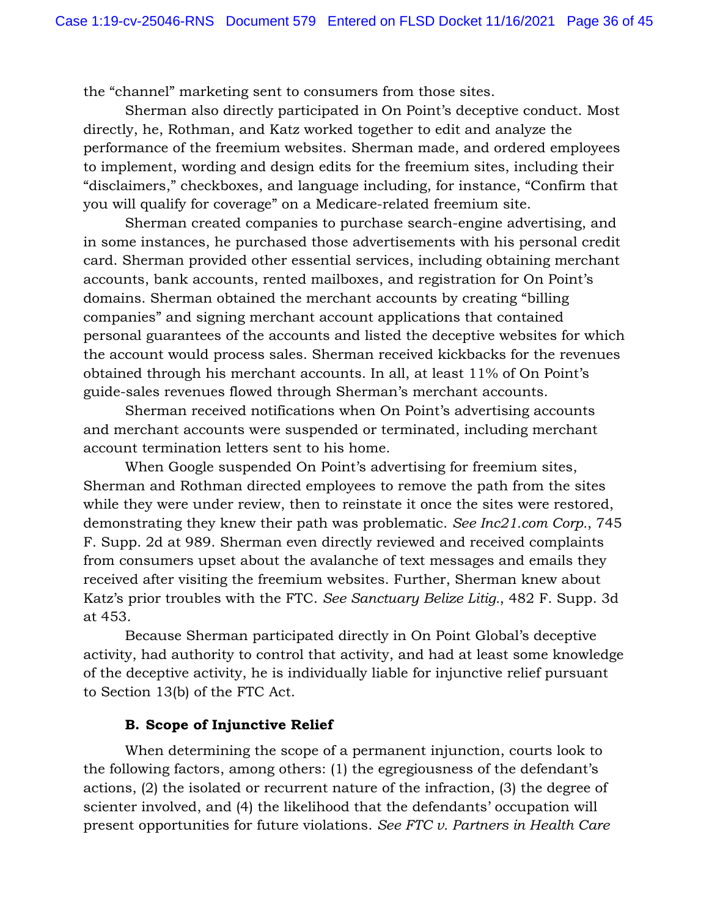the "channel" marketing sent to consumers from those sites.

Sherman also directly participated in On Point's deceptive conduct. Most directly, he, Rothman, and Katz worked together to edit and analyze the performance of the freemium websites. Sherman made, and ordered employees to implement, wording and design edits for the freemium sites, including their "disclaimers," checkboxes, and language including, for instance, "Confirm that you will qualify for coverage" on a Medicare-related freemium site.

Sherman created companies to purchase search-engine advertising, and in some instances, he purchased those advertisements with his personal credit card. Sherman provided other essential services, including obtaining merchant accounts, bank accounts, rented mailboxes, and registration for On Point's domains. Sherman obtained the merchant accounts by creating "billing companies" and signing merchant account applications that contained personal guarantees of the accounts and listed the deceptive websites for which the account would process sales. Sherman received kickbacks for the revenues obtained through his merchant accounts. In all, at least 11% of On Point's guide-sales revenues flowed through Sherman's merchant accounts.

Sherman received notifications when On Point's advertising accounts and merchant accounts were suspended or terminated, including merchant account termination letters sent to his home.

When Google suspended On Point's advertising for freemium sites, Sherman and Rothman directed employees to remove the path from the sites while they were under review, then to reinstate it once the sites were restored, demonstrating they knew their path was problematic. *See Inc21.com Corp.*, 745 F. Supp. 2d at 989. Sherman even directly reviewed and received complaints from consumers upset about the avalanche of text messages and emails they received after visiting the freemium websites. Further, Sherman knew about Katz's prior troubles with the FTC. *See Sanctuary Belize Litig.*, 482 F. Supp. 3d at 453.

Because Sherman participated directly in On Point Global's deceptive activity, had authority to control that activity, and had at least some knowledge of the deceptive activity, he is individually liable for injunctive relief pursuant to Section 13(b) of the FTC Act.

### **B. Scope of Injunctive Relief**

When determining the scope of a permanent injunction, courts look to the following factors, among others: (1) the egregiousness of the defendant's actions, (2) the isolated or recurrent nature of the infraction, (3) the degree of scienter involved, and (4) the likelihood that the defendants' occupation will present opportunities for future violations. *See FTC v. Partners in Health Care*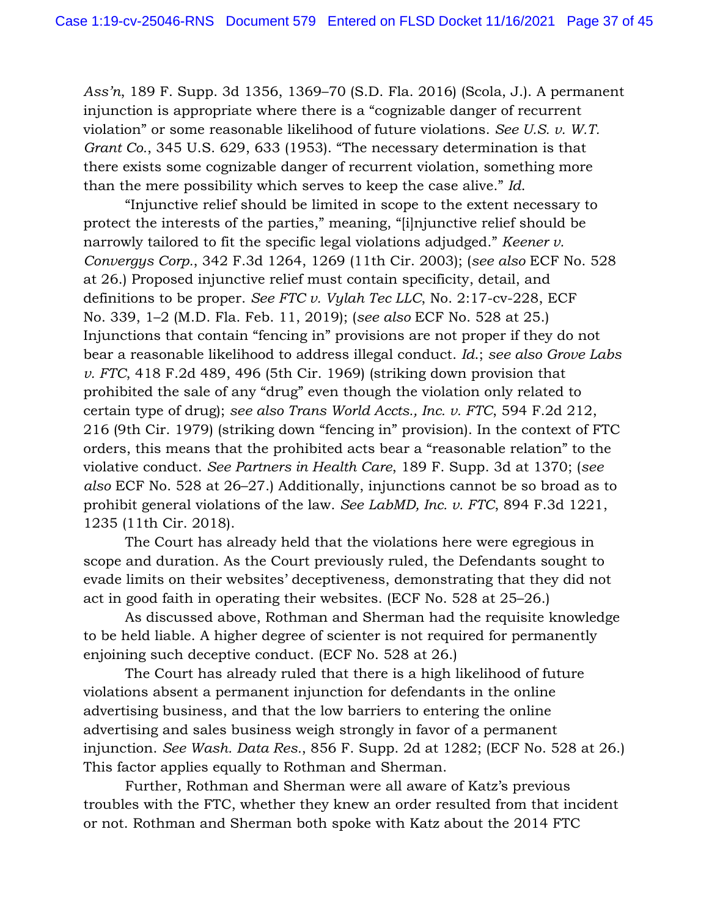*Ass'n*, 189 F. Supp. 3d 1356, 1369–70 (S.D. Fla. 2016) (Scola, J.). A permanent injunction is appropriate where there is a "cognizable danger of recurrent violation" or some reasonable likelihood of future violations. *See U.S. v. W.T. Grant Co.*, 345 U.S. 629, 633 (1953). "The necessary determination is that there exists some cognizable danger of recurrent violation, something more than the mere possibility which serves to keep the case alive." *Id*.

"Injunctive relief should be limited in scope to the extent necessary to protect the interests of the parties," meaning, "[i]njunctive relief should be narrowly tailored to fit the specific legal violations adjudged." *Keener v. Convergys Corp.*, 342 F.3d 1264, 1269 (11th Cir. 2003); (*see also* ECF No. 528 at 26.) Proposed injunctive relief must contain specificity, detail, and definitions to be proper. *See FTC v. Vylah Tec LLC*, No. 2:17-cv-228, ECF No. 339, 1–2 (M.D. Fla. Feb. 11, 2019); (*see also* ECF No. 528 at 25.) Injunctions that contain "fencing in" provisions are not proper if they do not bear a reasonable likelihood to address illegal conduct. *Id*.; *see also Grove Labs v. FTC*, 418 F.2d 489, 496 (5th Cir. 1969) (striking down provision that prohibited the sale of any "drug" even though the violation only related to certain type of drug); *see also Trans World Accts., Inc. v. FTC*, 594 F.2d 212, 216 (9th Cir. 1979) (striking down "fencing in" provision). In the context of FTC orders, this means that the prohibited acts bear a "reasonable relation" to the violative conduct. *See Partners in Health Care*, 189 F. Supp. 3d at 1370; (*see also* ECF No. 528 at 26–27.) Additionally, injunctions cannot be so broad as to prohibit general violations of the law. *See LabMD, Inc. v. FTC*, 894 F.3d 1221, 1235 (11th Cir. 2018).

The Court has already held that the violations here were egregious in scope and duration. As the Court previously ruled, the Defendants sought to evade limits on their websites' deceptiveness, demonstrating that they did not act in good faith in operating their websites. (ECF No. 528 at 25–26.)

As discussed above, Rothman and Sherman had the requisite knowledge to be held liable. A higher degree of scienter is not required for permanently enjoining such deceptive conduct. (ECF No. 528 at 26.)

The Court has already ruled that there is a high likelihood of future violations absent a permanent injunction for defendants in the online advertising business, and that the low barriers to entering the online advertising and sales business weigh strongly in favor of a permanent injunction. *See Wash. Data Res.*, 856 F. Supp. 2d at 1282; (ECF No. 528 at 26.) This factor applies equally to Rothman and Sherman.

Further, Rothman and Sherman were all aware of Katz's previous troubles with the FTC, whether they knew an order resulted from that incident or not. Rothman and Sherman both spoke with Katz about the 2014 FTC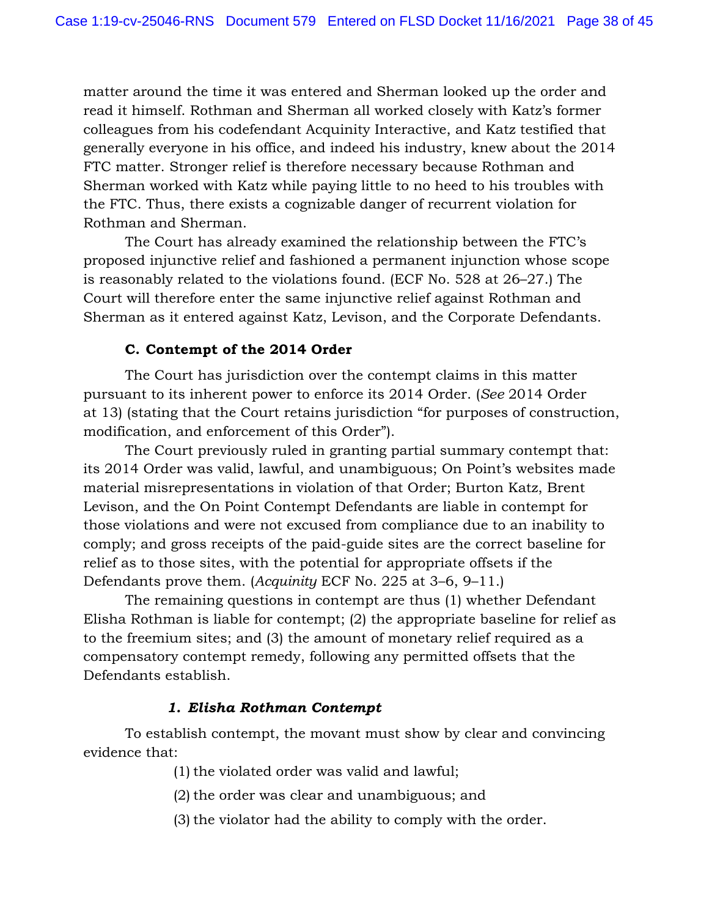matter around the time it was entered and Sherman looked up the order and read it himself. Rothman and Sherman all worked closely with Katz's former colleagues from his codefendant Acquinity Interactive, and Katz testified that generally everyone in his office, and indeed his industry, knew about the 2014 FTC matter. Stronger relief is therefore necessary because Rothman and Sherman worked with Katz while paying little to no heed to his troubles with the FTC. Thus, there exists a cognizable danger of recurrent violation for Rothman and Sherman.

The Court has already examined the relationship between the FTC's proposed injunctive relief and fashioned a permanent injunction whose scope is reasonably related to the violations found. (ECF No. 528 at 26–27.) The Court will therefore enter the same injunctive relief against Rothman and Sherman as it entered against Katz, Levison, and the Corporate Defendants.

### **C. Contempt of the 2014 Order**

The Court has jurisdiction over the contempt claims in this matter pursuant to its inherent power to enforce its 2014 Order. (*See* 2014 Order at 13) (stating that the Court retains jurisdiction "for purposes of construction, modification, and enforcement of this Order").

The Court previously ruled in granting partial summary contempt that: its 2014 Order was valid, lawful, and unambiguous; On Point's websites made material misrepresentations in violation of that Order; Burton Katz, Brent Levison, and the On Point Contempt Defendants are liable in contempt for those violations and were not excused from compliance due to an inability to comply; and gross receipts of the paid-guide sites are the correct baseline for relief as to those sites, with the potential for appropriate offsets if the Defendants prove them. (*Acquinity* ECF No. 225 at 3–6, 9–11.)

The remaining questions in contempt are thus (1) whether Defendant Elisha Rothman is liable for contempt; (2) the appropriate baseline for relief as to the freemium sites; and (3) the amount of monetary relief required as a compensatory contempt remedy, following any permitted offsets that the Defendants establish.

### *1. Elisha Rothman Contempt*

To establish contempt, the movant must show by clear and convincing evidence that:

(1) the violated order was valid and lawful;

(2) the order was clear and unambiguous; and

(3) the violator had the ability to comply with the order.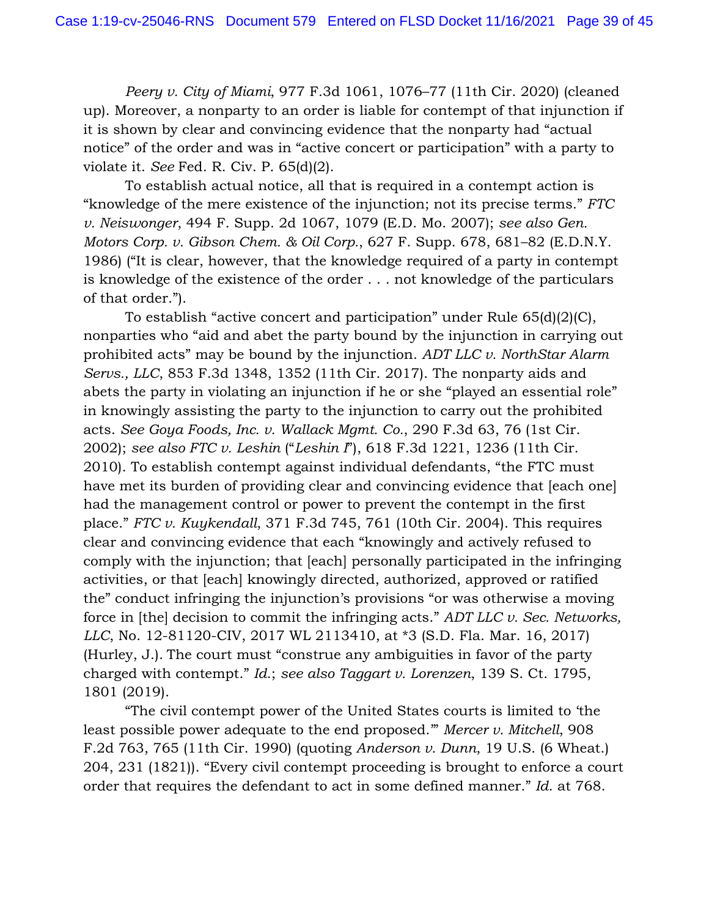*Peery v. City of Miami*, 977 F.3d 1061, 1076–77 (11th Cir. 2020) (cleaned up). Moreover, a nonparty to an order is liable for contempt of that injunction if it is shown by clear and convincing evidence that the nonparty had "actual notice" of the order and was in "active concert or participation" with a party to violate it. *See* Fed. R. Civ. P. 65(d)(2).

To establish actual notice, all that is required in a contempt action is "knowledge of the mere existence of the injunction; not its precise terms." *FTC v. Neiswonger*, 494 F. Supp. 2d 1067, 1079 (E.D. Mo. 2007); *see also Gen. Motors Corp. v. Gibson Chem. & Oil Corp.*, 627 F. Supp. 678, 681–82 (E.D.N.Y. 1986) ("It is clear, however, that the knowledge required of a party in contempt is knowledge of the existence of the order . . . not knowledge of the particulars of that order.").

To establish "active concert and participation" under Rule 65(d)(2)(C), nonparties who "aid and abet the party bound by the injunction in carrying out prohibited acts" may be bound by the injunction. *ADT LLC v. NorthStar Alarm Servs., LLC*, 853 F.3d 1348, 1352 (11th Cir. 2017). The nonparty aids and abets the party in violating an injunction if he or she "played an essential role" in knowingly assisting the party to the injunction to carry out the prohibited acts. *See Goya Foods, Inc. v. Wallack Mgmt. Co.*, 290 F.3d 63, 76 (1st Cir. 2002); *see also FTC v. Leshin* ("*Leshin I*"), 618 F.3d 1221, 1236 (11th Cir. 2010). To establish contempt against individual defendants, "the FTC must have met its burden of providing clear and convincing evidence that [each one] had the management control or power to prevent the contempt in the first place." *FTC v. Kuykendall*, 371 F.3d 745, 761 (10th Cir. 2004). This requires clear and convincing evidence that each "knowingly and actively refused to comply with the injunction; that [each] personally participated in the infringing activities, or that [each] knowingly directed, authorized, approved or ratified the" conduct infringing the injunction's provisions "or was otherwise a moving force in [the] decision to commit the infringing acts." *ADT LLC v. Sec. Networks, LLC*, No. 12-81120-CIV, 2017 WL 2113410, at \*3 (S.D. Fla. Mar. 16, 2017) (Hurley, J.). The court must "construe any ambiguities in favor of the party charged with contempt." *Id*.; *see also Taggart v. Lorenzen*, 139 S. Ct. 1795, 1801 (2019).

"The civil contempt power of the United States courts is limited to 'the least possible power adequate to the end proposed.'" *Mercer v. Mitchell*, 908 F.2d 763, 765 (11th Cir. 1990) (quoting *Anderson v. Dunn*, 19 U.S. (6 Wheat.) 204, 231 (1821)). "Every civil contempt proceeding is brought to enforce a court order that requires the defendant to act in some defined manner." *Id*. at 768.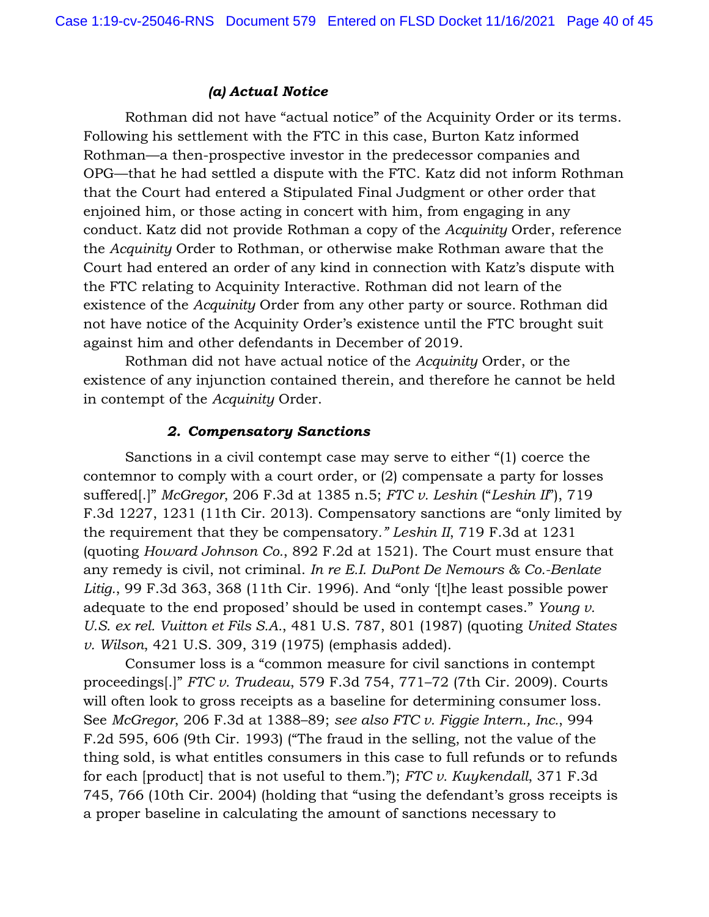### *(a) Actual Notice*

Rothman did not have "actual notice" of the Acquinity Order or its terms. Following his settlement with the FTC in this case, Burton Katz informed Rothman—a then-prospective investor in the predecessor companies and OPG—that he had settled a dispute with the FTC. Katz did not inform Rothman that the Court had entered a Stipulated Final Judgment or other order that enjoined him, or those acting in concert with him, from engaging in any conduct. Katz did not provide Rothman a copy of the *Acquinity* Order, reference the *Acquinity* Order to Rothman, or otherwise make Rothman aware that the Court had entered an order of any kind in connection with Katz's dispute with the FTC relating to Acquinity Interactive. Rothman did not learn of the existence of the *Acquinity* Order from any other party or source. Rothman did not have notice of the Acquinity Order's existence until the FTC brought suit against him and other defendants in December of 2019.

Rothman did not have actual notice of the *Acquinity* Order, or the existence of any injunction contained therein, and therefore he cannot be held in contempt of the *Acquinity* Order.

### *2. Compensatory Sanctions*

Sanctions in a civil contempt case may serve to either "(1) coerce the contemnor to comply with a court order, or (2) compensate a party for losses suffered[.]" *McGregor*, 206 F.3d at 1385 n.5; *FTC v. Leshin* ("*Leshin II*"), 719 F.3d 1227, 1231 (11th Cir. 2013). Compensatory sanctions are "only limited by the requirement that they be compensatory*." Leshin II*, 719 F.3d at 1231 (quoting *Howard Johnson Co.*, 892 F.2d at 1521). The Court must ensure that any remedy is civil, not criminal. *In re E.I. DuPont De Nemours & Co.-Benlate Litig.*, 99 F.3d 363, 368 (11th Cir. 1996). And "only '[t]he least possible power adequate to the end proposed' should be used in contempt cases." *Young v. U.S. ex rel. Vuitton et Fils S.A.*, 481 U.S. 787, 801 (1987) (quoting *United States v. Wilson*, 421 U.S. 309, 319 (1975) (emphasis added).

Consumer loss is a "common measure for civil sanctions in contempt proceedings[.]" *FTC v. Trudeau*, 579 F.3d 754, 771–72 (7th Cir. 2009). Courts will often look to gross receipts as a baseline for determining consumer loss. See *McGregor*, 206 F.3d at 1388–89; *see also FTC v. Figgie Intern., Inc.*, 994 F.2d 595, 606 (9th Cir. 1993) ("The fraud in the selling, not the value of the thing sold, is what entitles consumers in this case to full refunds or to refunds for each [product] that is not useful to them."); *FTC v. Kuykendall*, 371 F.3d 745, 766 (10th Cir. 2004) (holding that "using the defendant's gross receipts is a proper baseline in calculating the amount of sanctions necessary to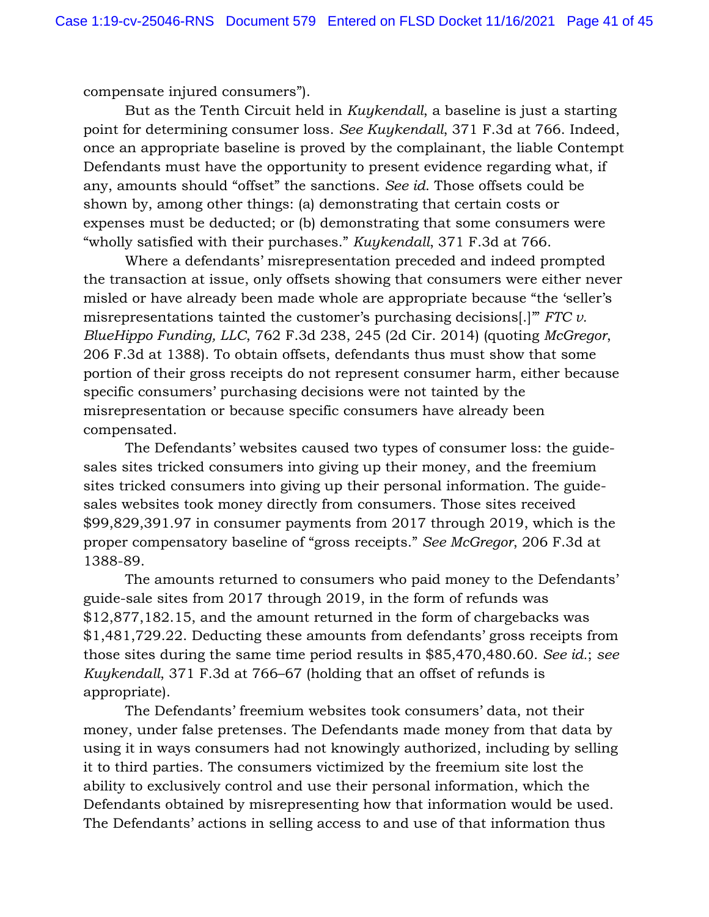compensate injured consumers").

But as the Tenth Circuit held in *Kuykendall*, a baseline is just a starting point for determining consumer loss. *See Kuykendall*, 371 F.3d at 766. Indeed, once an appropriate baseline is proved by the complainant, the liable Contempt Defendants must have the opportunity to present evidence regarding what, if any, amounts should "offset" the sanctions. *See id*. Those offsets could be shown by, among other things: (a) demonstrating that certain costs or expenses must be deducted; or (b) demonstrating that some consumers were "wholly satisfied with their purchases." *Kuykendall*, 371 F.3d at 766.

Where a defendants' misrepresentation preceded and indeed prompted the transaction at issue, only offsets showing that consumers were either never misled or have already been made whole are appropriate because "the 'seller's misrepresentations tainted the customer's purchasing decisions[.]'" *FTC v. BlueHippo Funding, LLC*, 762 F.3d 238, 245 (2d Cir. 2014) (quoting *McGregor*, 206 F.3d at 1388). To obtain offsets, defendants thus must show that some portion of their gross receipts do not represent consumer harm, either because specific consumers' purchasing decisions were not tainted by the misrepresentation or because specific consumers have already been compensated.

The Defendants' websites caused two types of consumer loss: the guidesales sites tricked consumers into giving up their money, and the freemium sites tricked consumers into giving up their personal information. The guidesales websites took money directly from consumers. Those sites received \$99,829,391.97 in consumer payments from 2017 through 2019, which is the proper compensatory baseline of "gross receipts." *See McGregor*, 206 F.3d at 1388-89.

The amounts returned to consumers who paid money to the Defendants' guide-sale sites from 2017 through 2019, in the form of refunds was \$12,877,182.15, and the amount returned in the form of chargebacks was \$1,481,729.22. Deducting these amounts from defendants' gross receipts from those sites during the same time period results in \$85,470,480.60. *See id.*; *see Kuykendall*, 371 F.3d at 766–67 (holding that an offset of refunds is appropriate).

The Defendants' freemium websites took consumers' data, not their money, under false pretenses. The Defendants made money from that data by using it in ways consumers had not knowingly authorized, including by selling it to third parties. The consumers victimized by the freemium site lost the ability to exclusively control and use their personal information, which the Defendants obtained by misrepresenting how that information would be used. The Defendants' actions in selling access to and use of that information thus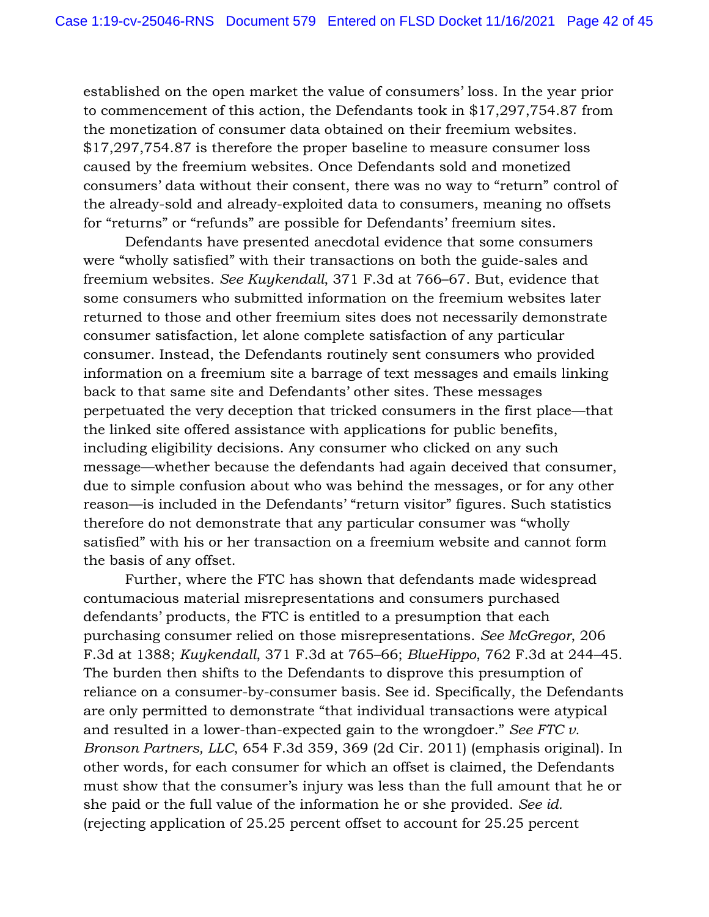established on the open market the value of consumers' loss. In the year prior to commencement of this action, the Defendants took in \$17,297,754.87 from the monetization of consumer data obtained on their freemium websites. \$17,297,754.87 is therefore the proper baseline to measure consumer loss caused by the freemium websites. Once Defendants sold and monetized consumers' data without their consent, there was no way to "return" control of the already-sold and already-exploited data to consumers, meaning no offsets for "returns" or "refunds" are possible for Defendants' freemium sites.

Defendants have presented anecdotal evidence that some consumers were "wholly satisfied" with their transactions on both the guide-sales and freemium websites. *See Kuykendall*, 371 F.3d at 766–67. But, evidence that some consumers who submitted information on the freemium websites later returned to those and other freemium sites does not necessarily demonstrate consumer satisfaction, let alone complete satisfaction of any particular consumer. Instead, the Defendants routinely sent consumers who provided information on a freemium site a barrage of text messages and emails linking back to that same site and Defendants' other sites. These messages perpetuated the very deception that tricked consumers in the first place—that the linked site offered assistance with applications for public benefits, including eligibility decisions. Any consumer who clicked on any such message—whether because the defendants had again deceived that consumer, due to simple confusion about who was behind the messages, or for any other reason—is included in the Defendants' "return visitor" figures. Such statistics therefore do not demonstrate that any particular consumer was "wholly satisfied" with his or her transaction on a freemium website and cannot form the basis of any offset.

Further, where the FTC has shown that defendants made widespread contumacious material misrepresentations and consumers purchased defendants' products, the FTC is entitled to a presumption that each purchasing consumer relied on those misrepresentations. *See McGregor*, 206 F.3d at 1388; *Kuykendall*, 371 F.3d at 765–66; *BlueHippo*, 762 F.3d at 244–45. The burden then shifts to the Defendants to disprove this presumption of reliance on a consumer-by-consumer basis. See id. Specifically, the Defendants are only permitted to demonstrate "that individual transactions were atypical and resulted in a lower-than-expected gain to the wrongdoer." *See FTC v. Bronson Partners, LLC*, 654 F.3d 359, 369 (2d Cir. 2011) (emphasis original). In other words, for each consumer for which an offset is claimed, the Defendants must show that the consumer's injury was less than the full amount that he or she paid or the full value of the information he or she provided. *See id.* (rejecting application of 25.25 percent offset to account for 25.25 percent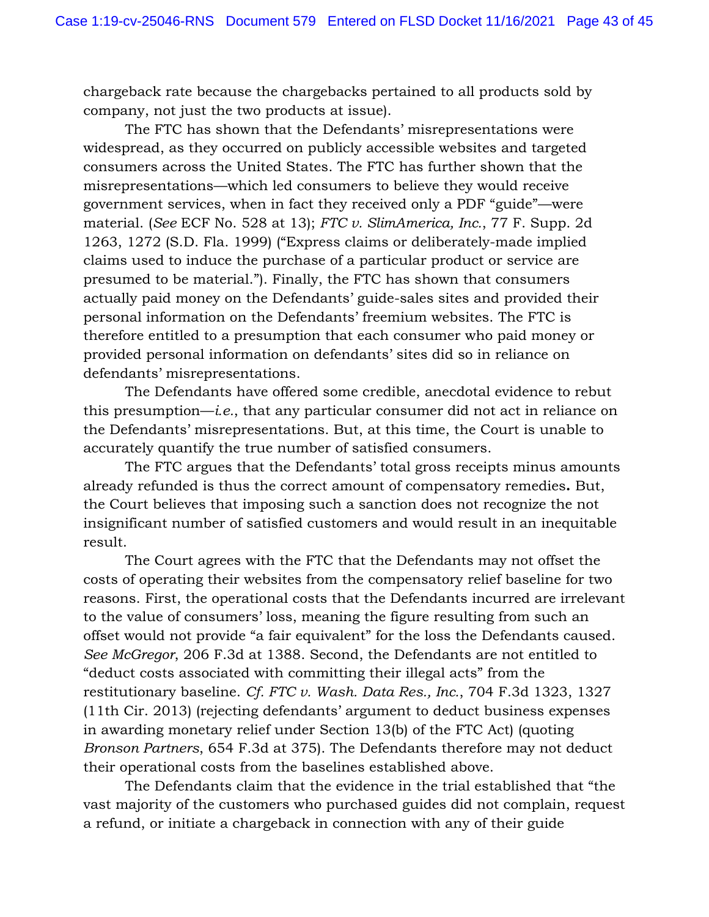chargeback rate because the chargebacks pertained to all products sold by company, not just the two products at issue).

The FTC has shown that the Defendants' misrepresentations were widespread, as they occurred on publicly accessible websites and targeted consumers across the United States. The FTC has further shown that the misrepresentations—which led consumers to believe they would receive government services, when in fact they received only a PDF "guide"—were material. (*See* ECF No. 528 at 13); *FTC v. SlimAmerica, Inc.*, 77 F. Supp. 2d 1263, 1272 (S.D. Fla. 1999) ("Express claims or deliberately-made implied claims used to induce the purchase of a particular product or service are presumed to be material."). Finally, the FTC has shown that consumers actually paid money on the Defendants' guide-sales sites and provided their personal information on the Defendants' freemium websites. The FTC is therefore entitled to a presumption that each consumer who paid money or provided personal information on defendants' sites did so in reliance on defendants' misrepresentations.

The Defendants have offered some credible, anecdotal evidence to rebut this presumption—*i.e.*, that any particular consumer did not act in reliance on the Defendants' misrepresentations. But, at this time, the Court is unable to accurately quantify the true number of satisfied consumers.

The FTC argues that the Defendants' total gross receipts minus amounts already refunded is thus the correct amount of compensatory remedies**.** But, the Court believes that imposing such a sanction does not recognize the not insignificant number of satisfied customers and would result in an inequitable result.

The Court agrees with the FTC that the Defendants may not offset the costs of operating their websites from the compensatory relief baseline for two reasons. First, the operational costs that the Defendants incurred are irrelevant to the value of consumers' loss, meaning the figure resulting from such an offset would not provide "a fair equivalent" for the loss the Defendants caused. *See McGregor*, 206 F.3d at 1388. Second, the Defendants are not entitled to "deduct costs associated with committing their illegal acts" from the restitutionary baseline. *Cf. FTC v. Wash. Data Res., Inc.*, 704 F.3d 1323, 1327 (11th Cir. 2013) (rejecting defendants' argument to deduct business expenses in awarding monetary relief under Section 13(b) of the FTC Act) (quoting *Bronson Partners*, 654 F.3d at 375). The Defendants therefore may not deduct their operational costs from the baselines established above.

The Defendants claim that the evidence in the trial established that "the vast majority of the customers who purchased guides did not complain, request a refund, or initiate a chargeback in connection with any of their guide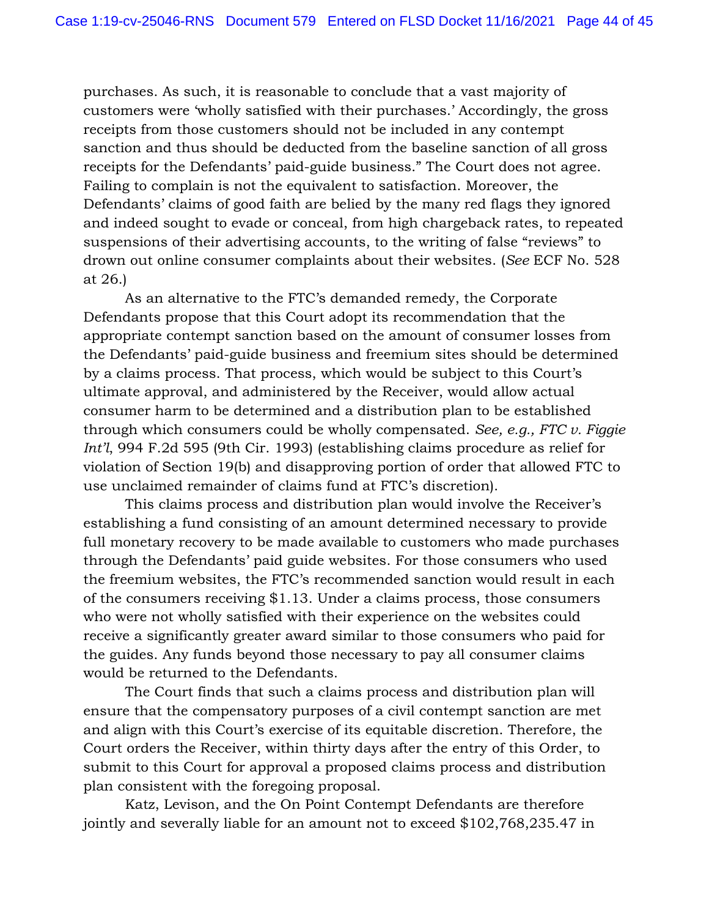purchases. As such, it is reasonable to conclude that a vast majority of customers were 'wholly satisfied with their purchases.' Accordingly, the gross receipts from those customers should not be included in any contempt sanction and thus should be deducted from the baseline sanction of all gross receipts for the Defendants' paid-guide business." The Court does not agree. Failing to complain is not the equivalent to satisfaction. Moreover, the Defendants' claims of good faith are belied by the many red flags they ignored and indeed sought to evade or conceal, from high chargeback rates, to repeated suspensions of their advertising accounts, to the writing of false "reviews" to drown out online consumer complaints about their websites. (*See* ECF No. 528 at 26.)

As an alternative to the FTC's demanded remedy, the Corporate Defendants propose that this Court adopt its recommendation that the appropriate contempt sanction based on the amount of consumer losses from the Defendants' paid-guide business and freemium sites should be determined by a claims process. That process, which would be subject to this Court's ultimate approval, and administered by the Receiver, would allow actual consumer harm to be determined and a distribution plan to be established through which consumers could be wholly compensated. *See, e.g., FTC v. Figgie Int'l*, 994 F.2d 595 (9th Cir. 1993) (establishing claims procedure as relief for violation of Section 19(b) and disapproving portion of order that allowed FTC to use unclaimed remainder of claims fund at FTC's discretion).

This claims process and distribution plan would involve the Receiver's establishing a fund consisting of an amount determined necessary to provide full monetary recovery to be made available to customers who made purchases through the Defendants' paid guide websites. For those consumers who used the freemium websites, the FTC's recommended sanction would result in each of the consumers receiving \$1.13. Under a claims process, those consumers who were not wholly satisfied with their experience on the websites could receive a significantly greater award similar to those consumers who paid for the guides. Any funds beyond those necessary to pay all consumer claims would be returned to the Defendants.

The Court finds that such a claims process and distribution plan will ensure that the compensatory purposes of a civil contempt sanction are met and align with this Court's exercise of its equitable discretion. Therefore, the Court orders the Receiver, within thirty days after the entry of this Order, to submit to this Court for approval a proposed claims process and distribution plan consistent with the foregoing proposal.

Katz, Levison, and the On Point Contempt Defendants are therefore jointly and severally liable for an amount not to exceed \$102,768,235.47 in